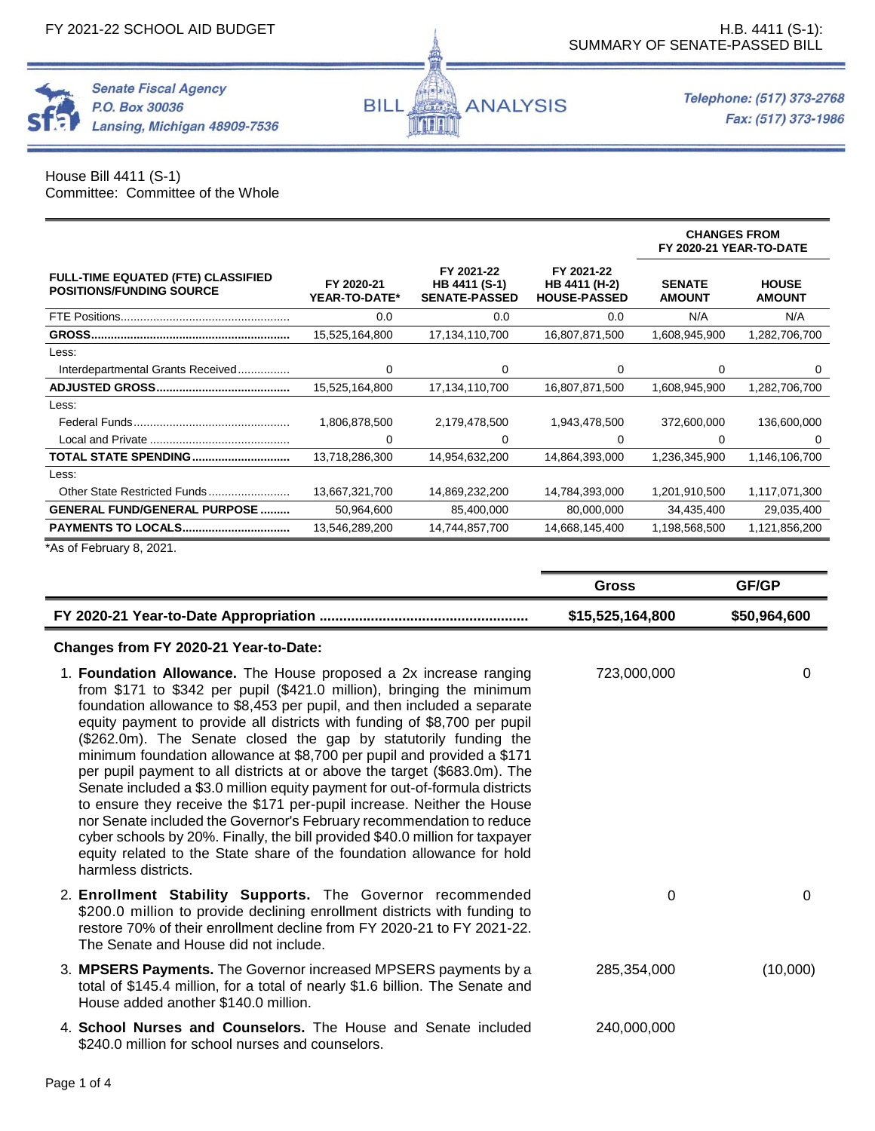**Senate Fiscal Agency** 

Lansing, Michigan 48909-7536

P.O. Box 30036



House Bill 4411 (S-1) Committee: Committee of the Whole

|                                                                              |                             |                                                     |                                                    | <b>CHANGES FROM</b><br>FY 2020-21 YEAR-TO-DATE |                               |
|------------------------------------------------------------------------------|-----------------------------|-----------------------------------------------------|----------------------------------------------------|------------------------------------------------|-------------------------------|
| <b>FULL-TIME EQUATED (FTE) CLASSIFIED</b><br><b>POSITIONS/FUNDING SOURCE</b> | FY 2020-21<br>YEAR-TO-DATE* | FY 2021-22<br>HB 4411 (S-1)<br><b>SENATE-PASSED</b> | FY 2021-22<br>HB 4411 (H-2)<br><b>HOUSE-PASSED</b> | <b>SENATE</b><br><b>AMOUNT</b>                 | <b>HOUSE</b><br><b>AMOUNT</b> |
| FTE Positions                                                                | 0.0                         | 0.0                                                 | 0.0                                                | N/A                                            | N/A                           |
|                                                                              | 15,525,164,800              | 17,134,110,700                                      | 16,807,871,500                                     | 1,608,945,900                                  | 1,282,706,700                 |
| Less:                                                                        |                             |                                                     |                                                    |                                                |                               |
| Interdepartmental Grants Received                                            | 0                           | 0                                                   | 0                                                  | 0                                              | 0                             |
|                                                                              | 15,525,164,800              | 17,134,110,700                                      | 16,807,871,500                                     | 1,608,945,900                                  | 1,282,706,700                 |
| Less:                                                                        |                             |                                                     |                                                    |                                                |                               |
|                                                                              | 1,806,878,500               | 2,179,478,500                                       | 1,943,478,500                                      | 372,600,000                                    | 136,600,000                   |
|                                                                              | 0                           | 0                                                   | 0                                                  | 0                                              | 0                             |
| <b>TOTAL STATE SPENDING</b>                                                  | 13,718,286,300              | 14,954,632,200                                      | 14,864,393,000                                     | 1,236,345,900                                  | 1,146,106,700                 |
| Less:                                                                        |                             |                                                     |                                                    |                                                |                               |
| Other State Restricted Funds                                                 | 13,667,321,700              | 14,869,232,200                                      | 14,784,393,000                                     | 1,201,910,500                                  | 1,117,071,300                 |
| <b>GENERAL FUND/GENERAL PURPOSE </b>                                         | 50,964,600                  | 85,400,000                                          | 80,000,000                                         | 34,435,400                                     | 29,035,400                    |
| <b>PAYMENTS TO LOCALS</b>                                                    | 13,546,289,200              | 14,744,857,700                                      | 14,668,145,400                                     | 1,198,568,500                                  | 1,121,856,200                 |

海洋

<u>i kult</u>

**ANALYSIS** 

**BILL** 

\*As of February 8, 2021.

|                                                                                                                                                                                                                                                                                                                                                                                                                                                                                                                                                                                                                                                                                                                                                                                                                                                                                                                                                 | <b>Gross</b>     | GF/GP        |
|-------------------------------------------------------------------------------------------------------------------------------------------------------------------------------------------------------------------------------------------------------------------------------------------------------------------------------------------------------------------------------------------------------------------------------------------------------------------------------------------------------------------------------------------------------------------------------------------------------------------------------------------------------------------------------------------------------------------------------------------------------------------------------------------------------------------------------------------------------------------------------------------------------------------------------------------------|------------------|--------------|
|                                                                                                                                                                                                                                                                                                                                                                                                                                                                                                                                                                                                                                                                                                                                                                                                                                                                                                                                                 | \$15,525,164,800 | \$50,964,600 |
| Changes from FY 2020-21 Year-to-Date:                                                                                                                                                                                                                                                                                                                                                                                                                                                                                                                                                                                                                                                                                                                                                                                                                                                                                                           |                  |              |
| 1. Foundation Allowance. The House proposed a 2x increase ranging<br>from \$171 to \$342 per pupil (\$421.0 million), bringing the minimum<br>foundation allowance to \$8,453 per pupil, and then included a separate<br>equity payment to provide all districts with funding of \$8,700 per pupil<br>(\$262.0m). The Senate closed the gap by statutorily funding the<br>minimum foundation allowance at \$8,700 per pupil and provided a \$171<br>per pupil payment to all districts at or above the target (\$683.0m). The<br>Senate included a \$3.0 million equity payment for out-of-formula districts<br>to ensure they receive the \$171 per-pupil increase. Neither the House<br>nor Senate included the Governor's February recommendation to reduce<br>cyber schools by 20%. Finally, the bill provided \$40.0 million for taxpayer<br>equity related to the State share of the foundation allowance for hold<br>harmless districts. | 723,000,000      | $\Omega$     |
| 2. Enrollment Stability Supports. The Governor recommended<br>\$200.0 million to provide declining enrollment districts with funding to<br>restore 70% of their enrollment decline from FY 2020-21 to FY 2021-22.<br>The Senate and House did not include.                                                                                                                                                                                                                                                                                                                                                                                                                                                                                                                                                                                                                                                                                      | 0                | $\Omega$     |
| 3. MPSERS Payments. The Governor increased MPSERS payments by a<br>total of \$145.4 million, for a total of nearly \$1.6 billion. The Senate and<br>House added another \$140.0 million.                                                                                                                                                                                                                                                                                                                                                                                                                                                                                                                                                                                                                                                                                                                                                        | 285,354,000      | (10,000)     |
| 4. School Nurses and Counselors. The House and Senate included<br>\$240.0 million for school nurses and counselors.                                                                                                                                                                                                                                                                                                                                                                                                                                                                                                                                                                                                                                                                                                                                                                                                                             | 240,000,000      |              |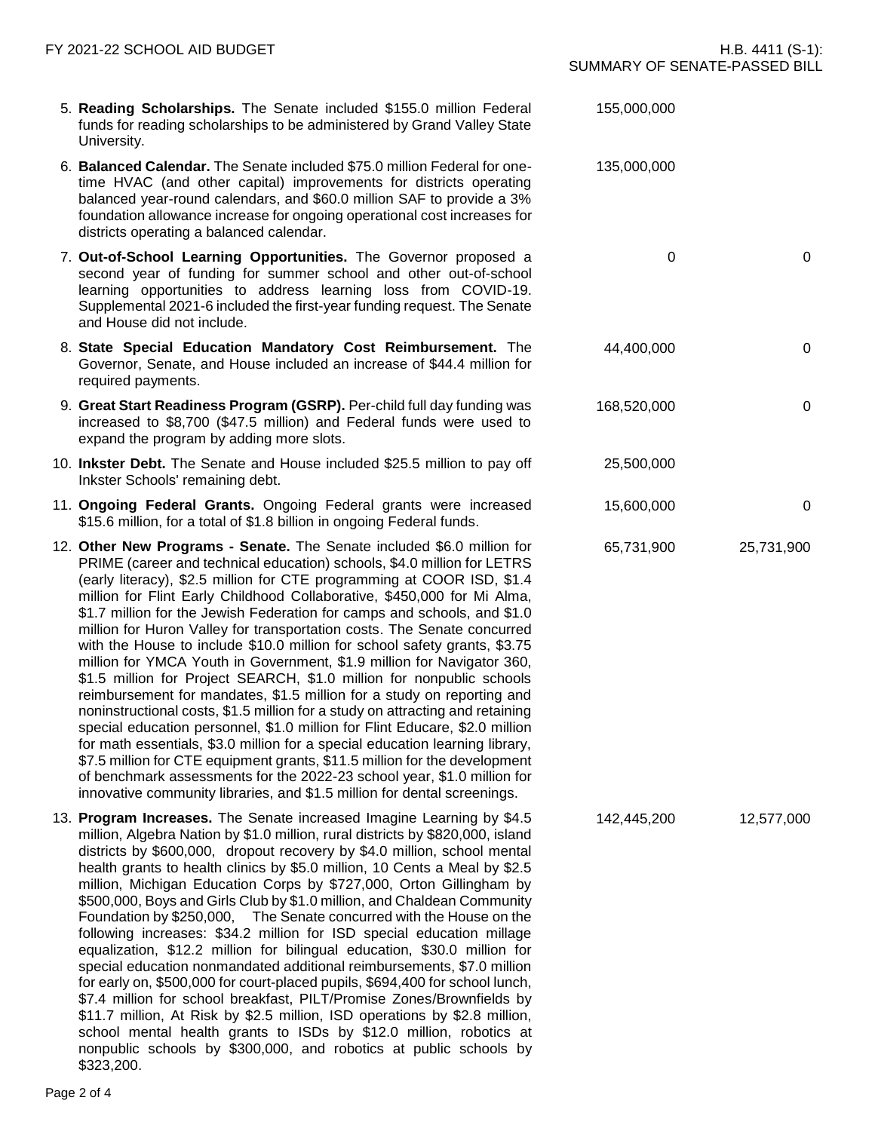- 5. **Reading Scholarships.** The Senate included \$155.0 million Federal funds for reading scholarships to be administered by Grand Valley State University.
- 6. **Balanced Calendar.** The Senate included \$75.0 million Federal for onetime HVAC (and other capital) improvements for districts operating balanced year-round calendars, and \$60.0 million SAF to provide a 3% foundation allowance increase for ongoing operational cost increases for districts operating a balanced calendar.
- 7. **Out-of-School Learning Opportunities.** The Governor proposed a second year of funding for summer school and other out-of-school learning opportunities to address learning loss from COVID-19. Supplemental 2021-6 included the first-year funding request. The Senate and House did not include.
- 8. **State Special Education Mandatory Cost Reimbursement.** The Governor, Senate, and House included an increase of \$44.4 million for required payments.
- 9. **Great Start Readiness Program (GSRP).** Per-child full day funding was increased to \$8,700 (\$47.5 million) and Federal funds were used to expand the program by adding more slots.
- 10. **Inkster Debt.** The Senate and House included \$25.5 million to pay off Inkster Schools' remaining debt.
- 11. **Ongoing Federal Grants.** Ongoing Federal grants were increased \$15.6 million, for a total of \$1.8 billion in ongoing Federal funds.
- 12. **Other New Programs - Senate.** The Senate included \$6.0 million for PRIME (career and technical education) schools, \$4.0 million for LETRS (early literacy), \$2.5 million for CTE programming at COOR ISD, \$1.4 million for Flint Early Childhood Collaborative, \$450,000 for Mi Alma, \$1.7 million for the Jewish Federation for camps and schools, and \$1.0 million for Huron Valley for transportation costs. The Senate concurred with the House to include \$10.0 million for school safety grants, \$3.75 million for YMCA Youth in Government, \$1.9 million for Navigator 360, \$1.5 million for Project SEARCH, \$1.0 million for nonpublic schools reimbursement for mandates, \$1.5 million for a study on reporting and noninstructional costs, \$1.5 million for a study on attracting and retaining special education personnel, \$1.0 million for Flint Educare, \$2.0 million for math essentials, \$3.0 million for a special education learning library, \$7.5 million for CTE equipment grants, \$11.5 million for the development of benchmark assessments for the 2022-23 school year, \$1.0 million for innovative community libraries, and \$1.5 million for dental screenings.
- 13. **Program Increases.** The Senate increased Imagine Learning by \$4.5 million, Algebra Nation by \$1.0 million, rural districts by \$820,000, island districts by \$600,000, dropout recovery by \$4.0 million, school mental health grants to health clinics by \$5.0 million, 10 Cents a Meal by \$2.5 million, Michigan Education Corps by \$727,000, Orton Gillingham by \$500,000, Boys and Girls Club by \$1.0 million, and Chaldean Community Foundation by \$250,000, The Senate concurred with the House on the following increases: \$34.2 million for ISD special education millage equalization, \$12.2 million for bilingual education, \$30.0 million for special education nonmandated additional reimbursements, \$7.0 million for early on, \$500,000 for court-placed pupils, \$694,400 for school lunch, \$7.4 million for school breakfast, PILT/Promise Zones/Brownfields by \$11.7 million, At Risk by \$2.5 million, ISD operations by \$2.8 million, school mental health grants to ISDs by \$12.0 million, robotics at nonpublic schools by \$300,000, and robotics at public schools by \$323,200.

Page 2 of 4

SUMMARY OF SENATE-PASSED BILL

155,000,000

135,000,000

142,445,200 12,577,000

168,520,000 0 25,500,000 15,600,000 0

65,731,900 25,731,900

44,400,000 0

0 0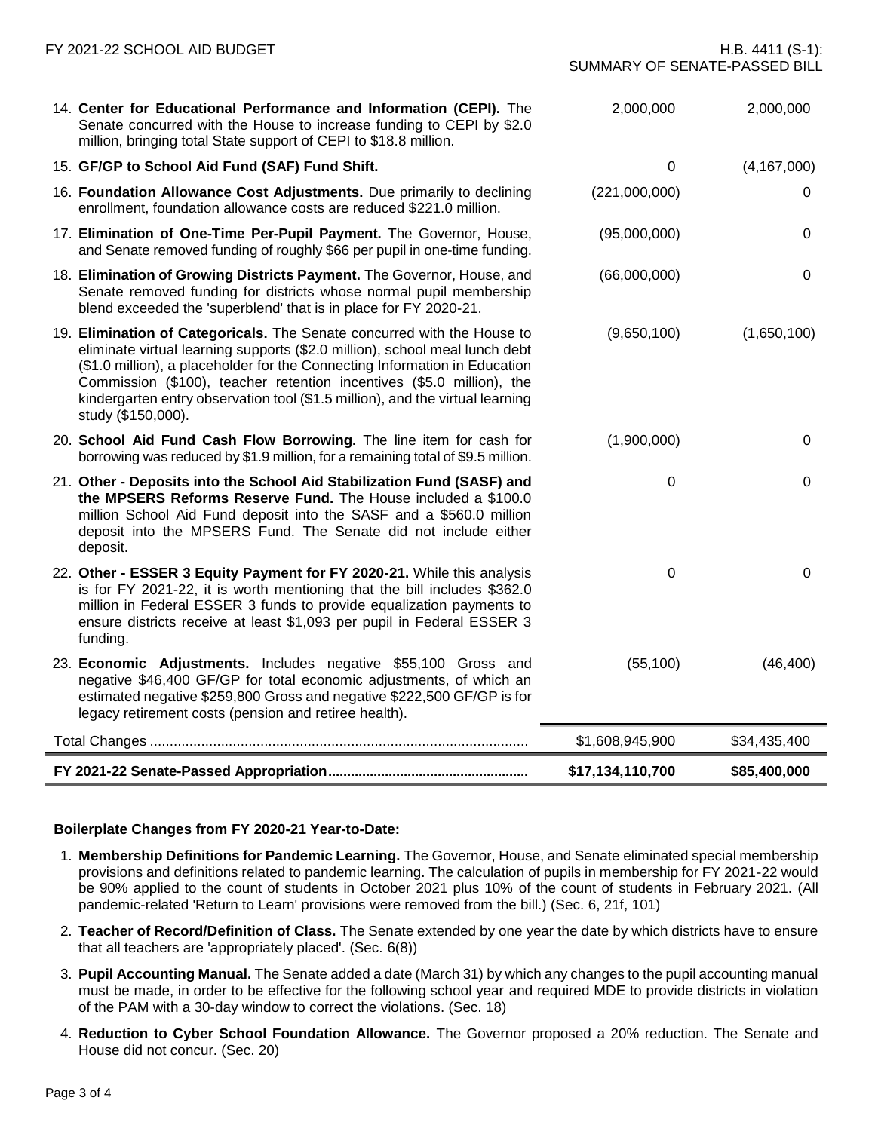| FY 2021-22 SCHOOL AID BUDGET                                                                                                                                                                                                                                                                                                                                                                                         | SUMMARY OF SENATE-PASSED BILL | H.B. 4411 (S-1): |
|----------------------------------------------------------------------------------------------------------------------------------------------------------------------------------------------------------------------------------------------------------------------------------------------------------------------------------------------------------------------------------------------------------------------|-------------------------------|------------------|
| 14. Center for Educational Performance and Information (CEPI). The<br>Senate concurred with the House to increase funding to CEPI by \$2.0<br>million, bringing total State support of CEPI to \$18.8 million.                                                                                                                                                                                                       | 2,000,000                     | 2,000,000        |
| 15. GF/GP to School Aid Fund (SAF) Fund Shift.                                                                                                                                                                                                                                                                                                                                                                       | $\Omega$                      | (4, 167, 000)    |
| 16. Foundation Allowance Cost Adjustments. Due primarily to declining<br>enrollment, foundation allowance costs are reduced \$221.0 million.                                                                                                                                                                                                                                                                         | (221,000,000)                 | 0                |
| 17. Elimination of One-Time Per-Pupil Payment. The Governor, House,<br>and Senate removed funding of roughly \$66 per pupil in one-time funding.                                                                                                                                                                                                                                                                     | (95,000,000)                  | 0                |
| 18. Elimination of Growing Districts Payment. The Governor, House, and<br>Senate removed funding for districts whose normal pupil membership<br>blend exceeded the 'superblend' that is in place for FY 2020-21.                                                                                                                                                                                                     | (66,000,000)                  | 0                |
| 19. Elimination of Categoricals. The Senate concurred with the House to<br>eliminate virtual learning supports (\$2.0 million), school meal lunch debt<br>(\$1.0 million), a placeholder for the Connecting Information in Education<br>Commission (\$100), teacher retention incentives (\$5.0 million), the<br>kindergarten entry observation tool (\$1.5 million), and the virtual learning<br>study (\$150,000). | (9,650,100)                   | (1,650,100)      |
| 20. School Aid Fund Cash Flow Borrowing. The line item for cash for<br>borrowing was reduced by \$1.9 million, for a remaining total of \$9.5 million.                                                                                                                                                                                                                                                               | (1,900,000)                   | 0                |
| 21. Other - Deposits into the School Aid Stabilization Fund (SASF) and<br>the MPSERS Reforms Reserve Fund. The House included a \$100.0<br>million School Aid Fund deposit into the SASF and a \$560.0 million<br>deposit into the MPSERS Fund. The Senate did not include either<br>deposit.                                                                                                                        | 0                             | 0                |
| 22. Other - ESSER 3 Equity Payment for FY 2020-21. While this analysis<br>is for FY 2021-22, it is worth mentioning that the bill includes \$362.0<br>million in Federal ESSER 3 funds to provide equalization payments to<br>ensure districts receive at least \$1,093 per pupil in Federal ESSER 3<br>funding.                                                                                                     | 0                             | 0                |
| 23. Economic Adjustments. Includes negative \$55,100 Gross and<br>negative \$46,400 GF/GP for total economic adjustments, of which an<br>estimated negative \$259,800 Gross and negative \$222,500 GF/GP is for<br>legacy retirement costs (pension and retiree health).                                                                                                                                             | (55, 100)                     | (46, 400)        |
|                                                                                                                                                                                                                                                                                                                                                                                                                      | \$1,608,945,900               | \$34,435,400     |
|                                                                                                                                                                                                                                                                                                                                                                                                                      | \$17,134,110,700              | \$85,400,000     |

#### **Boilerplate Changes from FY 2020-21 Year-to-Date:**

- 1. **Membership Definitions for Pandemic Learning.** The Governor, House, and Senate eliminated special membership provisions and definitions related to pandemic learning. The calculation of pupils in membership for FY 2021-22 would be 90% applied to the count of students in October 2021 plus 10% of the count of students in February 2021. (All pandemic-related 'Return to Learn' provisions were removed from the bill.) (Sec. 6, 21f, 101)
- 2. **Teacher of Record/Definition of Class.** The Senate extended by one year the date by which districts have to ensure that all teachers are 'appropriately placed'. (Sec. 6(8))
- 3. **Pupil Accounting Manual.** The Senate added a date (March 31) by which any changes to the pupil accounting manual must be made, in order to be effective for the following school year and required MDE to provide districts in violation of the PAM with a 30-day window to correct the violations. (Sec. 18)
- 4. **Reduction to Cyber School Foundation Allowance.** The Governor proposed a 20% reduction. The Senate and House did not concur. (Sec. 20)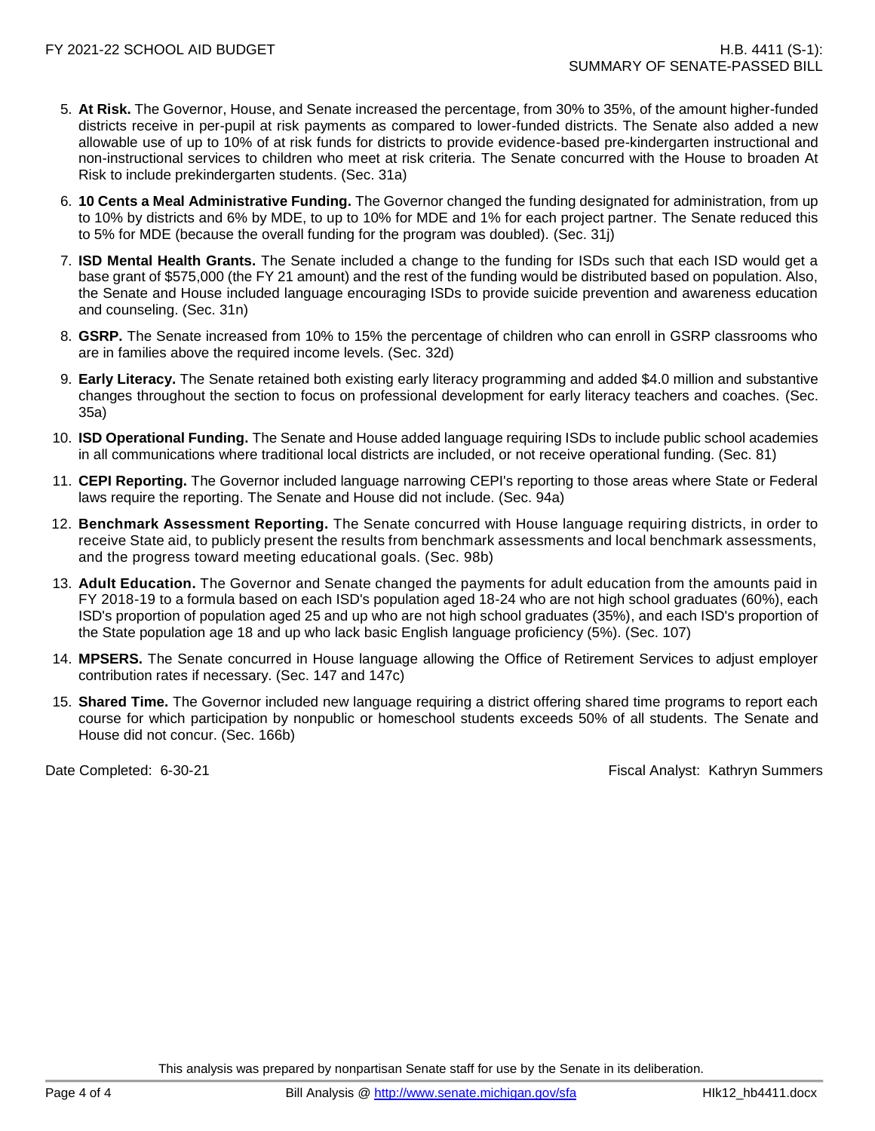- 5. **At Risk.** The Governor, House, and Senate increased the percentage, from 30% to 35%, of the amount higher-funded districts receive in per-pupil at risk payments as compared to lower-funded districts. The Senate also added a new allowable use of up to 10% of at risk funds for districts to provide evidence-based pre-kindergarten instructional and non-instructional services to children who meet at risk criteria. The Senate concurred with the House to broaden At Risk to include prekindergarten students. (Sec. 31a)
- 6. **10 Cents a Meal Administrative Funding.** The Governor changed the funding designated for administration, from up to 10% by districts and 6% by MDE, to up to 10% for MDE and 1% for each project partner. The Senate reduced this to 5% for MDE (because the overall funding for the program was doubled). (Sec. 31j)
- 7. **ISD Mental Health Grants.** The Senate included a change to the funding for ISDs such that each ISD would get a base grant of \$575,000 (the FY 21 amount) and the rest of the funding would be distributed based on population. Also, the Senate and House included language encouraging ISDs to provide suicide prevention and awareness education and counseling. (Sec. 31n)
- 8. **GSRP.** The Senate increased from 10% to 15% the percentage of children who can enroll in GSRP classrooms who are in families above the required income levels. (Sec. 32d)
- 9. **Early Literacy.** The Senate retained both existing early literacy programming and added \$4.0 million and substantive changes throughout the section to focus on professional development for early literacy teachers and coaches. (Sec. 35a)
- 10. **ISD Operational Funding.** The Senate and House added language requiring ISDs to include public school academies in all communications where traditional local districts are included, or not receive operational funding. (Sec. 81)
- 11. **CEPI Reporting.** The Governor included language narrowing CEPI's reporting to those areas where State or Federal laws require the reporting. The Senate and House did not include. (Sec. 94a)
- 12. **Benchmark Assessment Reporting.** The Senate concurred with House language requiring districts, in order to receive State aid, to publicly present the results from benchmark assessments and local benchmark assessments, and the progress toward meeting educational goals. (Sec. 98b)
- 13. **Adult Education.** The Governor and Senate changed the payments for adult education from the amounts paid in FY 2018-19 to a formula based on each ISD's population aged 18-24 who are not high school graduates (60%), each ISD's proportion of population aged 25 and up who are not high school graduates (35%), and each ISD's proportion of the State population age 18 and up who lack basic English language proficiency (5%). (Sec. 107)
- 14. **MPSERS.** The Senate concurred in House language allowing the Office of Retirement Services to adjust employer contribution rates if necessary. (Sec. 147 and 147c)
- 15. **Shared Time.** The Governor included new language requiring a district offering shared time programs to report each course for which participation by nonpublic or homeschool students exceeds 50% of all students. The Senate and House did not concur. (Sec. 166b)

Date Completed: 6-30-21 Fiscal Analyst: Kathryn Summers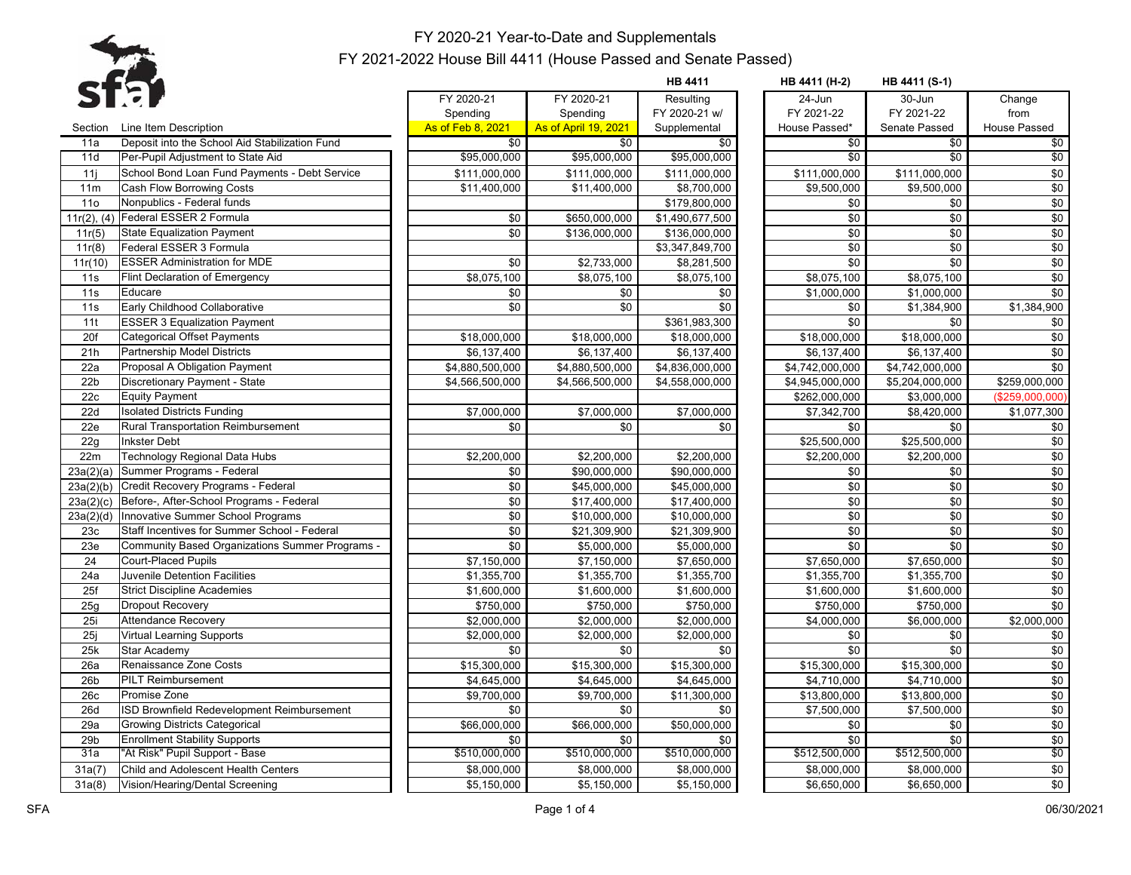

| FY 2020-21<br>FY 2020-21<br>Resulting<br>24-Jun<br>30-Jun<br>Change<br>Spending<br>FY 2020-21 w/<br>FY 2021-22<br>FY 2021-22<br>from<br>Spending<br>As of Feb 8, 2021<br><b>As of April 19, 2021</b><br>Line Item Description<br>Supplemental<br>House Passed*<br>Senate Passed<br><b>House Passed</b><br>Section<br>Deposit into the School Aid Stabilization Fund<br>$\overline{50}$<br>11a<br>\$0<br>\$0<br>\$0<br>\$0<br>\$0<br>\$95,000,000<br>\$0<br>\$0<br>\$95,000,000<br>\$95,000,000<br>$\overline{30}$<br>11d<br>Per-Pupil Adjustment to State Aid<br>\$0<br>11i<br>School Bond Loan Fund Payments - Debt Service<br>\$111,000,000<br>\$111,000,000<br>\$111,000,000<br>\$111,000,000<br>\$111,000,000<br>$$0$<br>\$9,500,000<br>11m<br>Cash Flow Borrowing Costs<br>\$11,400,000<br>\$11,400,000<br>\$8,700,000<br>\$9,500,000<br>11 <sub>0</sub><br>Nonpublics - Federal funds<br>\$0<br>\$179,800,000<br>\$0<br>\$0<br>\$0<br>11r(2), (4)<br>Federal ESSER 2 Formula<br>\$0<br>\$650,000,000<br>\$1,490,677,500<br>\$0<br>\$0<br>\$0<br>\$0<br>\$0<br>\$0<br><b>State Equalization Payment</b><br>\$136,000,000<br>\$136,000,000<br>11r(5)<br>Federal ESSER 3 Formula<br>\$0<br>\$0<br>\$0<br>11r(8)<br>\$3,347,849,700<br>\$0<br>\$0<br>\$0<br><b>ESSER Administration for MDE</b><br>\$0<br>$\overline{$}2,733,000$<br>11r(10)<br>\$8,281,500<br>\$0<br>11s<br><b>Flint Declaration of Emergency</b><br>\$8,075,100<br>\$8,075,100<br>\$8,075,100<br>\$8,075,100<br>\$8,075,100<br>\$0<br>11s<br>Educare<br>\$0<br>\$0<br>\$1,000,000<br>\$1,000,000<br>\$0<br>Early Childhood Collaborative<br>\$0<br>\$0<br>\$1,384,900<br>11s<br>\$0<br>\$0<br>\$1,384,900<br><b>ESSER 3 Equalization Payment</b><br>\$0<br>$\sqrt{6}$<br>11t<br>\$361,983,300<br>\$0<br>\$0<br>20f<br>\$18,000,000<br>\$18,000,000<br>\$18,000,000<br>\$18,000,000<br>Categorical Offset Payments<br>\$18,000,000<br>\$0<br>Partnership Model Districts<br>\$6,137,400<br>\$6,137,400<br>\$6,137,400<br>21h<br>\$6,137,400<br>\$6,137,400<br>22a<br>Proposal A Obligation Payment<br>\$4,880,500,000<br>\$4,880,500,000<br>\$4,836,000,000<br>\$4,742,000,000<br>\$4,742,000,000<br>\$0<br>22 <sub>b</sub><br>Discretionary Payment - State<br>\$5,204,000,000<br>\$259,000,000<br>\$4,566,500,000<br>\$4,566,500,000<br>\$4,558,000,000<br>\$4,945,000,000<br>22c<br>\$262,000,000<br>\$3,000,000<br>(\$259,000,000)<br><b>Equity Payment</b><br><b>Isolated Districts Funding</b><br>22d<br>\$1,077,300<br>\$7,000,000<br>\$7,000,000<br>\$7,000,000<br>\$7,342,700<br>\$8,420,000<br>22e<br><b>Rural Transportation Reimbursement</b><br>\$0<br>\$0<br>$\sqrt{6}$<br>\$0<br>\$0<br>\$0<br>\$0<br>22g<br><b>Inkster Debt</b><br>\$25,500,000<br>\$25,500,000<br>\$0<br><b>Technology Regional Data Hubs</b><br>22m<br>\$2,200,000<br>\$2,200,000<br>\$2,200,000<br>\$2,200,000<br>\$2,200,000<br>\$0<br>23a(2)(a)<br>Summer Programs - Federal<br>\$90,000,000<br>\$90,000,000<br>\$0<br>\$0<br>\$0<br>$$0$<br>Credit Recovery Programs - Federal<br>$\sqrt{6}$<br>$\sqrt{6}$<br>\$45,000,000<br>\$45,000,000<br>\$0<br>23a(2)(b)<br>\$0<br>$$0$<br>Before-, After-School Programs - Federal<br>\$0<br>\$0<br>\$17,400,000<br>\$17,400,000<br>23a(2)(c)<br>\$0<br>Innovative Summer School Programs<br>\$0<br>\$0<br>\$10,000,000<br>\$10,000,000<br>\$0<br>23a(2)(d)<br>Staff Incentives for Summer School - Federal<br>\$0<br>\$21,309,900<br>\$0<br>\$0<br>\$0<br>\$21,309,900<br>23c<br>Community Based Organizations Summer Programs -<br>23e<br>\$0<br>\$0<br>\$5,000,000<br>\$5,000,000<br>\$0<br>\$0<br>\$0<br>\$7,150,000<br>\$7,650,000<br>\$7,650,000<br>24<br><b>Court-Placed Pupils</b><br>\$7,150,000<br>\$7,650,000<br>\$0<br>24a<br>Juvenile Detention Facilities<br>\$1,355,700<br>\$1,355,700<br>\$1,355,700<br>\$1,355,700<br>\$1,355,700<br>\$0<br>25f<br><b>Strict Discipline Academies</b><br>\$1,600,000<br>\$1,600,000<br>\$1,600,000<br>\$1,600,000<br>\$1,600,000<br>25g<br>Dropout Recovery<br>\$750,000<br>\$750,000<br>\$750,000<br>$\sqrt{6}$<br>\$750,000<br>\$750,000<br><b>Attendance Recovery</b><br>\$2,000,000<br>\$2,000,000<br>\$6,000,000<br>\$2,000,000<br>25i<br>\$2,000,000<br>\$4,000,000<br>25j<br>\$2,000,000<br>$\$0$<br><b>Virtual Learning Supports</b><br>\$2,000,000<br>\$2,000,000<br>\$0<br>\$0<br>$\sqrt{6}$<br>\$0<br>\$0<br>\$0<br>25k<br>Star Academy<br>\$0<br>\$0<br>Renaissance Zone Costs<br>26a<br>\$15,300,000<br>\$15,300,000<br>\$15,300,000<br>\$15,300,000<br>\$15,300,000<br>\$0<br>\$0<br>26 <sub>b</sub><br><b>PILT Reimbursement</b><br>\$4,645,000<br>\$4,645,000<br>\$4,710,000<br>\$4,645,000<br>\$4,710,000<br>\$0<br>26c<br>Promise Zone<br>\$9,700,000<br>\$9,700,000<br>\$11,300,000<br>\$13,800,000<br>\$13,800,000<br>$$0$<br>ISD Brownfield Redevelopment Reimbursement<br>26d<br>\$0<br>\$0<br>\$0<br>\$7,500,000<br>\$7,500,000<br>\$0<br>\$66,000,000<br>\$66,000,000<br>\$50,000,000<br>29a<br><b>Growing Districts Categorical</b><br>\$0<br>\$0<br>\$0<br>29 <sub>b</sub><br><b>Enrollment Stability Supports</b><br>\$0<br>\$0<br>\$0<br>\$0<br>\$0<br>\$0<br>31a<br>\$510,000,000<br>\$510,000,000<br>\$510,000,000<br>\$512,500,000<br>\$512,500,000<br>"At Risk" Pupil Support - Base<br>\$0<br>31a(7)<br>Child and Adolescent Health Centers<br>\$8.000.000<br>\$8.000.000<br>\$8,000,000<br>\$8,000,000<br>\$8,000,000<br>\$0<br>Vision/Hearing/Dental Screening<br>\$5,150,000<br>\$5,150,000<br>\$5,150,000<br>\$6,650,000<br>\$6,650,000<br>31a(8) |  |  | <b>HB 4411</b> | HB 4411 (H-2) | HB 4411 (S-1) |  |
|-----------------------------------------------------------------------------------------------------------------------------------------------------------------------------------------------------------------------------------------------------------------------------------------------------------------------------------------------------------------------------------------------------------------------------------------------------------------------------------------------------------------------------------------------------------------------------------------------------------------------------------------------------------------------------------------------------------------------------------------------------------------------------------------------------------------------------------------------------------------------------------------------------------------------------------------------------------------------------------------------------------------------------------------------------------------------------------------------------------------------------------------------------------------------------------------------------------------------------------------------------------------------------------------------------------------------------------------------------------------------------------------------------------------------------------------------------------------------------------------------------------------------------------------------------------------------------------------------------------------------------------------------------------------------------------------------------------------------------------------------------------------------------------------------------------------------------------------------------------------------------------------------------------------------------------------------------------------------------------------------------------------------------------------------------------------------------------------------------------------------------------------------------------------------------------------------------------------------------------------------------------------------------------------------------------------------------------------------------------------------------------------------------------------------------------------------------------------------------------------------------------------------------------------------------------------------------------------------------------------------------------------------------------------------------------------------------------------------------------------------------------------------------------------------------------------------------------------------------------------------------------------------------------------------------------------------------------------------------------------------------------------------------------------------------------------------------------------------------------------------------------------------------------------------------------------------------------------------------------------------------------------------------------------------------------------------------------------------------------------------------------------------------------------------------------------------------------------------------------------------------------------------------------------------------------------------------------------------------------------------------------------------------------------------------------------------------------------------------------------------------------------------------------------------------------------------------------------------------------------------------------------------------------------------------------------------------------------------------------------------------------------------------------------------------------------------------------------------------------------------------------------------------------------------------------------------------------------------------------------------------------------------------------------------------------------------------------------------------------------------------------------------------------------------------------------------------------------------------------------------------------------------------------------------------------------------------------------------------------------------------------------------------------------------------------------------------------------------------------------------------------------------------------------------------------------------------------------------------------------------------------------------------------------------------------------------------------------------------------------------------------------------------------------------------------------------------------------------------------------------------------------------------------------------------------------------------------------------------------------------------------------------------------------------------------------------------------------------------------------------------------------------------------------------------------------------------------------------------------------------------------------------------------------|--|--|----------------|---------------|---------------|--|
|                                                                                                                                                                                                                                                                                                                                                                                                                                                                                                                                                                                                                                                                                                                                                                                                                                                                                                                                                                                                                                                                                                                                                                                                                                                                                                                                                                                                                                                                                                                                                                                                                                                                                                                                                                                                                                                                                                                                                                                                                                                                                                                                                                                                                                                                                                                                                                                                                                                                                                                                                                                                                                                                                                                                                                                                                                                                                                                                                                                                                                                                                                                                                                                                                                                                                                                                                                                                                                                                                                                                                                                                                                                                                                                                                                                                                                                                                                                                                                                                                                                                                                                                                                                                                                                                                                                                                                                                                                                                                                                                                                                                                                                                                                                                                                                                                                                                                                                                                                                                                                                                                                                                                                                                                                                                                                                                                                                                                                                                                                                                         |  |  |                |               |               |  |
|                                                                                                                                                                                                                                                                                                                                                                                                                                                                                                                                                                                                                                                                                                                                                                                                                                                                                                                                                                                                                                                                                                                                                                                                                                                                                                                                                                                                                                                                                                                                                                                                                                                                                                                                                                                                                                                                                                                                                                                                                                                                                                                                                                                                                                                                                                                                                                                                                                                                                                                                                                                                                                                                                                                                                                                                                                                                                                                                                                                                                                                                                                                                                                                                                                                                                                                                                                                                                                                                                                                                                                                                                                                                                                                                                                                                                                                                                                                                                                                                                                                                                                                                                                                                                                                                                                                                                                                                                                                                                                                                                                                                                                                                                                                                                                                                                                                                                                                                                                                                                                                                                                                                                                                                                                                                                                                                                                                                                                                                                                                                         |  |  |                |               |               |  |
|                                                                                                                                                                                                                                                                                                                                                                                                                                                                                                                                                                                                                                                                                                                                                                                                                                                                                                                                                                                                                                                                                                                                                                                                                                                                                                                                                                                                                                                                                                                                                                                                                                                                                                                                                                                                                                                                                                                                                                                                                                                                                                                                                                                                                                                                                                                                                                                                                                                                                                                                                                                                                                                                                                                                                                                                                                                                                                                                                                                                                                                                                                                                                                                                                                                                                                                                                                                                                                                                                                                                                                                                                                                                                                                                                                                                                                                                                                                                                                                                                                                                                                                                                                                                                                                                                                                                                                                                                                                                                                                                                                                                                                                                                                                                                                                                                                                                                                                                                                                                                                                                                                                                                                                                                                                                                                                                                                                                                                                                                                                                         |  |  |                |               |               |  |
|                                                                                                                                                                                                                                                                                                                                                                                                                                                                                                                                                                                                                                                                                                                                                                                                                                                                                                                                                                                                                                                                                                                                                                                                                                                                                                                                                                                                                                                                                                                                                                                                                                                                                                                                                                                                                                                                                                                                                                                                                                                                                                                                                                                                                                                                                                                                                                                                                                                                                                                                                                                                                                                                                                                                                                                                                                                                                                                                                                                                                                                                                                                                                                                                                                                                                                                                                                                                                                                                                                                                                                                                                                                                                                                                                                                                                                                                                                                                                                                                                                                                                                                                                                                                                                                                                                                                                                                                                                                                                                                                                                                                                                                                                                                                                                                                                                                                                                                                                                                                                                                                                                                                                                                                                                                                                                                                                                                                                                                                                                                                         |  |  |                |               |               |  |
|                                                                                                                                                                                                                                                                                                                                                                                                                                                                                                                                                                                                                                                                                                                                                                                                                                                                                                                                                                                                                                                                                                                                                                                                                                                                                                                                                                                                                                                                                                                                                                                                                                                                                                                                                                                                                                                                                                                                                                                                                                                                                                                                                                                                                                                                                                                                                                                                                                                                                                                                                                                                                                                                                                                                                                                                                                                                                                                                                                                                                                                                                                                                                                                                                                                                                                                                                                                                                                                                                                                                                                                                                                                                                                                                                                                                                                                                                                                                                                                                                                                                                                                                                                                                                                                                                                                                                                                                                                                                                                                                                                                                                                                                                                                                                                                                                                                                                                                                                                                                                                                                                                                                                                                                                                                                                                                                                                                                                                                                                                                                         |  |  |                |               |               |  |
|                                                                                                                                                                                                                                                                                                                                                                                                                                                                                                                                                                                                                                                                                                                                                                                                                                                                                                                                                                                                                                                                                                                                                                                                                                                                                                                                                                                                                                                                                                                                                                                                                                                                                                                                                                                                                                                                                                                                                                                                                                                                                                                                                                                                                                                                                                                                                                                                                                                                                                                                                                                                                                                                                                                                                                                                                                                                                                                                                                                                                                                                                                                                                                                                                                                                                                                                                                                                                                                                                                                                                                                                                                                                                                                                                                                                                                                                                                                                                                                                                                                                                                                                                                                                                                                                                                                                                                                                                                                                                                                                                                                                                                                                                                                                                                                                                                                                                                                                                                                                                                                                                                                                                                                                                                                                                                                                                                                                                                                                                                                                         |  |  |                |               |               |  |
|                                                                                                                                                                                                                                                                                                                                                                                                                                                                                                                                                                                                                                                                                                                                                                                                                                                                                                                                                                                                                                                                                                                                                                                                                                                                                                                                                                                                                                                                                                                                                                                                                                                                                                                                                                                                                                                                                                                                                                                                                                                                                                                                                                                                                                                                                                                                                                                                                                                                                                                                                                                                                                                                                                                                                                                                                                                                                                                                                                                                                                                                                                                                                                                                                                                                                                                                                                                                                                                                                                                                                                                                                                                                                                                                                                                                                                                                                                                                                                                                                                                                                                                                                                                                                                                                                                                                                                                                                                                                                                                                                                                                                                                                                                                                                                                                                                                                                                                                                                                                                                                                                                                                                                                                                                                                                                                                                                                                                                                                                                                                         |  |  |                |               |               |  |
|                                                                                                                                                                                                                                                                                                                                                                                                                                                                                                                                                                                                                                                                                                                                                                                                                                                                                                                                                                                                                                                                                                                                                                                                                                                                                                                                                                                                                                                                                                                                                                                                                                                                                                                                                                                                                                                                                                                                                                                                                                                                                                                                                                                                                                                                                                                                                                                                                                                                                                                                                                                                                                                                                                                                                                                                                                                                                                                                                                                                                                                                                                                                                                                                                                                                                                                                                                                                                                                                                                                                                                                                                                                                                                                                                                                                                                                                                                                                                                                                                                                                                                                                                                                                                                                                                                                                                                                                                                                                                                                                                                                                                                                                                                                                                                                                                                                                                                                                                                                                                                                                                                                                                                                                                                                                                                                                                                                                                                                                                                                                         |  |  |                |               |               |  |
|                                                                                                                                                                                                                                                                                                                                                                                                                                                                                                                                                                                                                                                                                                                                                                                                                                                                                                                                                                                                                                                                                                                                                                                                                                                                                                                                                                                                                                                                                                                                                                                                                                                                                                                                                                                                                                                                                                                                                                                                                                                                                                                                                                                                                                                                                                                                                                                                                                                                                                                                                                                                                                                                                                                                                                                                                                                                                                                                                                                                                                                                                                                                                                                                                                                                                                                                                                                                                                                                                                                                                                                                                                                                                                                                                                                                                                                                                                                                                                                                                                                                                                                                                                                                                                                                                                                                                                                                                                                                                                                                                                                                                                                                                                                                                                                                                                                                                                                                                                                                                                                                                                                                                                                                                                                                                                                                                                                                                                                                                                                                         |  |  |                |               |               |  |
|                                                                                                                                                                                                                                                                                                                                                                                                                                                                                                                                                                                                                                                                                                                                                                                                                                                                                                                                                                                                                                                                                                                                                                                                                                                                                                                                                                                                                                                                                                                                                                                                                                                                                                                                                                                                                                                                                                                                                                                                                                                                                                                                                                                                                                                                                                                                                                                                                                                                                                                                                                                                                                                                                                                                                                                                                                                                                                                                                                                                                                                                                                                                                                                                                                                                                                                                                                                                                                                                                                                                                                                                                                                                                                                                                                                                                                                                                                                                                                                                                                                                                                                                                                                                                                                                                                                                                                                                                                                                                                                                                                                                                                                                                                                                                                                                                                                                                                                                                                                                                                                                                                                                                                                                                                                                                                                                                                                                                                                                                                                                         |  |  |                |               |               |  |
|                                                                                                                                                                                                                                                                                                                                                                                                                                                                                                                                                                                                                                                                                                                                                                                                                                                                                                                                                                                                                                                                                                                                                                                                                                                                                                                                                                                                                                                                                                                                                                                                                                                                                                                                                                                                                                                                                                                                                                                                                                                                                                                                                                                                                                                                                                                                                                                                                                                                                                                                                                                                                                                                                                                                                                                                                                                                                                                                                                                                                                                                                                                                                                                                                                                                                                                                                                                                                                                                                                                                                                                                                                                                                                                                                                                                                                                                                                                                                                                                                                                                                                                                                                                                                                                                                                                                                                                                                                                                                                                                                                                                                                                                                                                                                                                                                                                                                                                                                                                                                                                                                                                                                                                                                                                                                                                                                                                                                                                                                                                                         |  |  |                |               |               |  |
|                                                                                                                                                                                                                                                                                                                                                                                                                                                                                                                                                                                                                                                                                                                                                                                                                                                                                                                                                                                                                                                                                                                                                                                                                                                                                                                                                                                                                                                                                                                                                                                                                                                                                                                                                                                                                                                                                                                                                                                                                                                                                                                                                                                                                                                                                                                                                                                                                                                                                                                                                                                                                                                                                                                                                                                                                                                                                                                                                                                                                                                                                                                                                                                                                                                                                                                                                                                                                                                                                                                                                                                                                                                                                                                                                                                                                                                                                                                                                                                                                                                                                                                                                                                                                                                                                                                                                                                                                                                                                                                                                                                                                                                                                                                                                                                                                                                                                                                                                                                                                                                                                                                                                                                                                                                                                                                                                                                                                                                                                                                                         |  |  |                |               |               |  |
|                                                                                                                                                                                                                                                                                                                                                                                                                                                                                                                                                                                                                                                                                                                                                                                                                                                                                                                                                                                                                                                                                                                                                                                                                                                                                                                                                                                                                                                                                                                                                                                                                                                                                                                                                                                                                                                                                                                                                                                                                                                                                                                                                                                                                                                                                                                                                                                                                                                                                                                                                                                                                                                                                                                                                                                                                                                                                                                                                                                                                                                                                                                                                                                                                                                                                                                                                                                                                                                                                                                                                                                                                                                                                                                                                                                                                                                                                                                                                                                                                                                                                                                                                                                                                                                                                                                                                                                                                                                                                                                                                                                                                                                                                                                                                                                                                                                                                                                                                                                                                                                                                                                                                                                                                                                                                                                                                                                                                                                                                                                                         |  |  |                |               |               |  |
|                                                                                                                                                                                                                                                                                                                                                                                                                                                                                                                                                                                                                                                                                                                                                                                                                                                                                                                                                                                                                                                                                                                                                                                                                                                                                                                                                                                                                                                                                                                                                                                                                                                                                                                                                                                                                                                                                                                                                                                                                                                                                                                                                                                                                                                                                                                                                                                                                                                                                                                                                                                                                                                                                                                                                                                                                                                                                                                                                                                                                                                                                                                                                                                                                                                                                                                                                                                                                                                                                                                                                                                                                                                                                                                                                                                                                                                                                                                                                                                                                                                                                                                                                                                                                                                                                                                                                                                                                                                                                                                                                                                                                                                                                                                                                                                                                                                                                                                                                                                                                                                                                                                                                                                                                                                                                                                                                                                                                                                                                                                                         |  |  |                |               |               |  |
|                                                                                                                                                                                                                                                                                                                                                                                                                                                                                                                                                                                                                                                                                                                                                                                                                                                                                                                                                                                                                                                                                                                                                                                                                                                                                                                                                                                                                                                                                                                                                                                                                                                                                                                                                                                                                                                                                                                                                                                                                                                                                                                                                                                                                                                                                                                                                                                                                                                                                                                                                                                                                                                                                                                                                                                                                                                                                                                                                                                                                                                                                                                                                                                                                                                                                                                                                                                                                                                                                                                                                                                                                                                                                                                                                                                                                                                                                                                                                                                                                                                                                                                                                                                                                                                                                                                                                                                                                                                                                                                                                                                                                                                                                                                                                                                                                                                                                                                                                                                                                                                                                                                                                                                                                                                                                                                                                                                                                                                                                                                                         |  |  |                |               |               |  |
|                                                                                                                                                                                                                                                                                                                                                                                                                                                                                                                                                                                                                                                                                                                                                                                                                                                                                                                                                                                                                                                                                                                                                                                                                                                                                                                                                                                                                                                                                                                                                                                                                                                                                                                                                                                                                                                                                                                                                                                                                                                                                                                                                                                                                                                                                                                                                                                                                                                                                                                                                                                                                                                                                                                                                                                                                                                                                                                                                                                                                                                                                                                                                                                                                                                                                                                                                                                                                                                                                                                                                                                                                                                                                                                                                                                                                                                                                                                                                                                                                                                                                                                                                                                                                                                                                                                                                                                                                                                                                                                                                                                                                                                                                                                                                                                                                                                                                                                                                                                                                                                                                                                                                                                                                                                                                                                                                                                                                                                                                                                                         |  |  |                |               |               |  |
|                                                                                                                                                                                                                                                                                                                                                                                                                                                                                                                                                                                                                                                                                                                                                                                                                                                                                                                                                                                                                                                                                                                                                                                                                                                                                                                                                                                                                                                                                                                                                                                                                                                                                                                                                                                                                                                                                                                                                                                                                                                                                                                                                                                                                                                                                                                                                                                                                                                                                                                                                                                                                                                                                                                                                                                                                                                                                                                                                                                                                                                                                                                                                                                                                                                                                                                                                                                                                                                                                                                                                                                                                                                                                                                                                                                                                                                                                                                                                                                                                                                                                                                                                                                                                                                                                                                                                                                                                                                                                                                                                                                                                                                                                                                                                                                                                                                                                                                                                                                                                                                                                                                                                                                                                                                                                                                                                                                                                                                                                                                                         |  |  |                |               |               |  |
|                                                                                                                                                                                                                                                                                                                                                                                                                                                                                                                                                                                                                                                                                                                                                                                                                                                                                                                                                                                                                                                                                                                                                                                                                                                                                                                                                                                                                                                                                                                                                                                                                                                                                                                                                                                                                                                                                                                                                                                                                                                                                                                                                                                                                                                                                                                                                                                                                                                                                                                                                                                                                                                                                                                                                                                                                                                                                                                                                                                                                                                                                                                                                                                                                                                                                                                                                                                                                                                                                                                                                                                                                                                                                                                                                                                                                                                                                                                                                                                                                                                                                                                                                                                                                                                                                                                                                                                                                                                                                                                                                                                                                                                                                                                                                                                                                                                                                                                                                                                                                                                                                                                                                                                                                                                                                                                                                                                                                                                                                                                                         |  |  |                |               |               |  |
|                                                                                                                                                                                                                                                                                                                                                                                                                                                                                                                                                                                                                                                                                                                                                                                                                                                                                                                                                                                                                                                                                                                                                                                                                                                                                                                                                                                                                                                                                                                                                                                                                                                                                                                                                                                                                                                                                                                                                                                                                                                                                                                                                                                                                                                                                                                                                                                                                                                                                                                                                                                                                                                                                                                                                                                                                                                                                                                                                                                                                                                                                                                                                                                                                                                                                                                                                                                                                                                                                                                                                                                                                                                                                                                                                                                                                                                                                                                                                                                                                                                                                                                                                                                                                                                                                                                                                                                                                                                                                                                                                                                                                                                                                                                                                                                                                                                                                                                                                                                                                                                                                                                                                                                                                                                                                                                                                                                                                                                                                                                                         |  |  |                |               |               |  |
|                                                                                                                                                                                                                                                                                                                                                                                                                                                                                                                                                                                                                                                                                                                                                                                                                                                                                                                                                                                                                                                                                                                                                                                                                                                                                                                                                                                                                                                                                                                                                                                                                                                                                                                                                                                                                                                                                                                                                                                                                                                                                                                                                                                                                                                                                                                                                                                                                                                                                                                                                                                                                                                                                                                                                                                                                                                                                                                                                                                                                                                                                                                                                                                                                                                                                                                                                                                                                                                                                                                                                                                                                                                                                                                                                                                                                                                                                                                                                                                                                                                                                                                                                                                                                                                                                                                                                                                                                                                                                                                                                                                                                                                                                                                                                                                                                                                                                                                                                                                                                                                                                                                                                                                                                                                                                                                                                                                                                                                                                                                                         |  |  |                |               |               |  |
|                                                                                                                                                                                                                                                                                                                                                                                                                                                                                                                                                                                                                                                                                                                                                                                                                                                                                                                                                                                                                                                                                                                                                                                                                                                                                                                                                                                                                                                                                                                                                                                                                                                                                                                                                                                                                                                                                                                                                                                                                                                                                                                                                                                                                                                                                                                                                                                                                                                                                                                                                                                                                                                                                                                                                                                                                                                                                                                                                                                                                                                                                                                                                                                                                                                                                                                                                                                                                                                                                                                                                                                                                                                                                                                                                                                                                                                                                                                                                                                                                                                                                                                                                                                                                                                                                                                                                                                                                                                                                                                                                                                                                                                                                                                                                                                                                                                                                                                                                                                                                                                                                                                                                                                                                                                                                                                                                                                                                                                                                                                                         |  |  |                |               |               |  |
|                                                                                                                                                                                                                                                                                                                                                                                                                                                                                                                                                                                                                                                                                                                                                                                                                                                                                                                                                                                                                                                                                                                                                                                                                                                                                                                                                                                                                                                                                                                                                                                                                                                                                                                                                                                                                                                                                                                                                                                                                                                                                                                                                                                                                                                                                                                                                                                                                                                                                                                                                                                                                                                                                                                                                                                                                                                                                                                                                                                                                                                                                                                                                                                                                                                                                                                                                                                                                                                                                                                                                                                                                                                                                                                                                                                                                                                                                                                                                                                                                                                                                                                                                                                                                                                                                                                                                                                                                                                                                                                                                                                                                                                                                                                                                                                                                                                                                                                                                                                                                                                                                                                                                                                                                                                                                                                                                                                                                                                                                                                                         |  |  |                |               |               |  |
|                                                                                                                                                                                                                                                                                                                                                                                                                                                                                                                                                                                                                                                                                                                                                                                                                                                                                                                                                                                                                                                                                                                                                                                                                                                                                                                                                                                                                                                                                                                                                                                                                                                                                                                                                                                                                                                                                                                                                                                                                                                                                                                                                                                                                                                                                                                                                                                                                                                                                                                                                                                                                                                                                                                                                                                                                                                                                                                                                                                                                                                                                                                                                                                                                                                                                                                                                                                                                                                                                                                                                                                                                                                                                                                                                                                                                                                                                                                                                                                                                                                                                                                                                                                                                                                                                                                                                                                                                                                                                                                                                                                                                                                                                                                                                                                                                                                                                                                                                                                                                                                                                                                                                                                                                                                                                                                                                                                                                                                                                                                                         |  |  |                |               |               |  |
|                                                                                                                                                                                                                                                                                                                                                                                                                                                                                                                                                                                                                                                                                                                                                                                                                                                                                                                                                                                                                                                                                                                                                                                                                                                                                                                                                                                                                                                                                                                                                                                                                                                                                                                                                                                                                                                                                                                                                                                                                                                                                                                                                                                                                                                                                                                                                                                                                                                                                                                                                                                                                                                                                                                                                                                                                                                                                                                                                                                                                                                                                                                                                                                                                                                                                                                                                                                                                                                                                                                                                                                                                                                                                                                                                                                                                                                                                                                                                                                                                                                                                                                                                                                                                                                                                                                                                                                                                                                                                                                                                                                                                                                                                                                                                                                                                                                                                                                                                                                                                                                                                                                                                                                                                                                                                                                                                                                                                                                                                                                                         |  |  |                |               |               |  |
|                                                                                                                                                                                                                                                                                                                                                                                                                                                                                                                                                                                                                                                                                                                                                                                                                                                                                                                                                                                                                                                                                                                                                                                                                                                                                                                                                                                                                                                                                                                                                                                                                                                                                                                                                                                                                                                                                                                                                                                                                                                                                                                                                                                                                                                                                                                                                                                                                                                                                                                                                                                                                                                                                                                                                                                                                                                                                                                                                                                                                                                                                                                                                                                                                                                                                                                                                                                                                                                                                                                                                                                                                                                                                                                                                                                                                                                                                                                                                                                                                                                                                                                                                                                                                                                                                                                                                                                                                                                                                                                                                                                                                                                                                                                                                                                                                                                                                                                                                                                                                                                                                                                                                                                                                                                                                                                                                                                                                                                                                                                                         |  |  |                |               |               |  |
|                                                                                                                                                                                                                                                                                                                                                                                                                                                                                                                                                                                                                                                                                                                                                                                                                                                                                                                                                                                                                                                                                                                                                                                                                                                                                                                                                                                                                                                                                                                                                                                                                                                                                                                                                                                                                                                                                                                                                                                                                                                                                                                                                                                                                                                                                                                                                                                                                                                                                                                                                                                                                                                                                                                                                                                                                                                                                                                                                                                                                                                                                                                                                                                                                                                                                                                                                                                                                                                                                                                                                                                                                                                                                                                                                                                                                                                                                                                                                                                                                                                                                                                                                                                                                                                                                                                                                                                                                                                                                                                                                                                                                                                                                                                                                                                                                                                                                                                                                                                                                                                                                                                                                                                                                                                                                                                                                                                                                                                                                                                                         |  |  |                |               |               |  |
|                                                                                                                                                                                                                                                                                                                                                                                                                                                                                                                                                                                                                                                                                                                                                                                                                                                                                                                                                                                                                                                                                                                                                                                                                                                                                                                                                                                                                                                                                                                                                                                                                                                                                                                                                                                                                                                                                                                                                                                                                                                                                                                                                                                                                                                                                                                                                                                                                                                                                                                                                                                                                                                                                                                                                                                                                                                                                                                                                                                                                                                                                                                                                                                                                                                                                                                                                                                                                                                                                                                                                                                                                                                                                                                                                                                                                                                                                                                                                                                                                                                                                                                                                                                                                                                                                                                                                                                                                                                                                                                                                                                                                                                                                                                                                                                                                                                                                                                                                                                                                                                                                                                                                                                                                                                                                                                                                                                                                                                                                                                                         |  |  |                |               |               |  |
|                                                                                                                                                                                                                                                                                                                                                                                                                                                                                                                                                                                                                                                                                                                                                                                                                                                                                                                                                                                                                                                                                                                                                                                                                                                                                                                                                                                                                                                                                                                                                                                                                                                                                                                                                                                                                                                                                                                                                                                                                                                                                                                                                                                                                                                                                                                                                                                                                                                                                                                                                                                                                                                                                                                                                                                                                                                                                                                                                                                                                                                                                                                                                                                                                                                                                                                                                                                                                                                                                                                                                                                                                                                                                                                                                                                                                                                                                                                                                                                                                                                                                                                                                                                                                                                                                                                                                                                                                                                                                                                                                                                                                                                                                                                                                                                                                                                                                                                                                                                                                                                                                                                                                                                                                                                                                                                                                                                                                                                                                                                                         |  |  |                |               |               |  |
|                                                                                                                                                                                                                                                                                                                                                                                                                                                                                                                                                                                                                                                                                                                                                                                                                                                                                                                                                                                                                                                                                                                                                                                                                                                                                                                                                                                                                                                                                                                                                                                                                                                                                                                                                                                                                                                                                                                                                                                                                                                                                                                                                                                                                                                                                                                                                                                                                                                                                                                                                                                                                                                                                                                                                                                                                                                                                                                                                                                                                                                                                                                                                                                                                                                                                                                                                                                                                                                                                                                                                                                                                                                                                                                                                                                                                                                                                                                                                                                                                                                                                                                                                                                                                                                                                                                                                                                                                                                                                                                                                                                                                                                                                                                                                                                                                                                                                                                                                                                                                                                                                                                                                                                                                                                                                                                                                                                                                                                                                                                                         |  |  |                |               |               |  |
|                                                                                                                                                                                                                                                                                                                                                                                                                                                                                                                                                                                                                                                                                                                                                                                                                                                                                                                                                                                                                                                                                                                                                                                                                                                                                                                                                                                                                                                                                                                                                                                                                                                                                                                                                                                                                                                                                                                                                                                                                                                                                                                                                                                                                                                                                                                                                                                                                                                                                                                                                                                                                                                                                                                                                                                                                                                                                                                                                                                                                                                                                                                                                                                                                                                                                                                                                                                                                                                                                                                                                                                                                                                                                                                                                                                                                                                                                                                                                                                                                                                                                                                                                                                                                                                                                                                                                                                                                                                                                                                                                                                                                                                                                                                                                                                                                                                                                                                                                                                                                                                                                                                                                                                                                                                                                                                                                                                                                                                                                                                                         |  |  |                |               |               |  |
|                                                                                                                                                                                                                                                                                                                                                                                                                                                                                                                                                                                                                                                                                                                                                                                                                                                                                                                                                                                                                                                                                                                                                                                                                                                                                                                                                                                                                                                                                                                                                                                                                                                                                                                                                                                                                                                                                                                                                                                                                                                                                                                                                                                                                                                                                                                                                                                                                                                                                                                                                                                                                                                                                                                                                                                                                                                                                                                                                                                                                                                                                                                                                                                                                                                                                                                                                                                                                                                                                                                                                                                                                                                                                                                                                                                                                                                                                                                                                                                                                                                                                                                                                                                                                                                                                                                                                                                                                                                                                                                                                                                                                                                                                                                                                                                                                                                                                                                                                                                                                                                                                                                                                                                                                                                                                                                                                                                                                                                                                                                                         |  |  |                |               |               |  |
|                                                                                                                                                                                                                                                                                                                                                                                                                                                                                                                                                                                                                                                                                                                                                                                                                                                                                                                                                                                                                                                                                                                                                                                                                                                                                                                                                                                                                                                                                                                                                                                                                                                                                                                                                                                                                                                                                                                                                                                                                                                                                                                                                                                                                                                                                                                                                                                                                                                                                                                                                                                                                                                                                                                                                                                                                                                                                                                                                                                                                                                                                                                                                                                                                                                                                                                                                                                                                                                                                                                                                                                                                                                                                                                                                                                                                                                                                                                                                                                                                                                                                                                                                                                                                                                                                                                                                                                                                                                                                                                                                                                                                                                                                                                                                                                                                                                                                                                                                                                                                                                                                                                                                                                                                                                                                                                                                                                                                                                                                                                                         |  |  |                |               |               |  |
|                                                                                                                                                                                                                                                                                                                                                                                                                                                                                                                                                                                                                                                                                                                                                                                                                                                                                                                                                                                                                                                                                                                                                                                                                                                                                                                                                                                                                                                                                                                                                                                                                                                                                                                                                                                                                                                                                                                                                                                                                                                                                                                                                                                                                                                                                                                                                                                                                                                                                                                                                                                                                                                                                                                                                                                                                                                                                                                                                                                                                                                                                                                                                                                                                                                                                                                                                                                                                                                                                                                                                                                                                                                                                                                                                                                                                                                                                                                                                                                                                                                                                                                                                                                                                                                                                                                                                                                                                                                                                                                                                                                                                                                                                                                                                                                                                                                                                                                                                                                                                                                                                                                                                                                                                                                                                                                                                                                                                                                                                                                                         |  |  |                |               |               |  |
|                                                                                                                                                                                                                                                                                                                                                                                                                                                                                                                                                                                                                                                                                                                                                                                                                                                                                                                                                                                                                                                                                                                                                                                                                                                                                                                                                                                                                                                                                                                                                                                                                                                                                                                                                                                                                                                                                                                                                                                                                                                                                                                                                                                                                                                                                                                                                                                                                                                                                                                                                                                                                                                                                                                                                                                                                                                                                                                                                                                                                                                                                                                                                                                                                                                                                                                                                                                                                                                                                                                                                                                                                                                                                                                                                                                                                                                                                                                                                                                                                                                                                                                                                                                                                                                                                                                                                                                                                                                                                                                                                                                                                                                                                                                                                                                                                                                                                                                                                                                                                                                                                                                                                                                                                                                                                                                                                                                                                                                                                                                                         |  |  |                |               |               |  |
|                                                                                                                                                                                                                                                                                                                                                                                                                                                                                                                                                                                                                                                                                                                                                                                                                                                                                                                                                                                                                                                                                                                                                                                                                                                                                                                                                                                                                                                                                                                                                                                                                                                                                                                                                                                                                                                                                                                                                                                                                                                                                                                                                                                                                                                                                                                                                                                                                                                                                                                                                                                                                                                                                                                                                                                                                                                                                                                                                                                                                                                                                                                                                                                                                                                                                                                                                                                                                                                                                                                                                                                                                                                                                                                                                                                                                                                                                                                                                                                                                                                                                                                                                                                                                                                                                                                                                                                                                                                                                                                                                                                                                                                                                                                                                                                                                                                                                                                                                                                                                                                                                                                                                                                                                                                                                                                                                                                                                                                                                                                                         |  |  |                |               |               |  |
|                                                                                                                                                                                                                                                                                                                                                                                                                                                                                                                                                                                                                                                                                                                                                                                                                                                                                                                                                                                                                                                                                                                                                                                                                                                                                                                                                                                                                                                                                                                                                                                                                                                                                                                                                                                                                                                                                                                                                                                                                                                                                                                                                                                                                                                                                                                                                                                                                                                                                                                                                                                                                                                                                                                                                                                                                                                                                                                                                                                                                                                                                                                                                                                                                                                                                                                                                                                                                                                                                                                                                                                                                                                                                                                                                                                                                                                                                                                                                                                                                                                                                                                                                                                                                                                                                                                                                                                                                                                                                                                                                                                                                                                                                                                                                                                                                                                                                                                                                                                                                                                                                                                                                                                                                                                                                                                                                                                                                                                                                                                                         |  |  |                |               |               |  |
|                                                                                                                                                                                                                                                                                                                                                                                                                                                                                                                                                                                                                                                                                                                                                                                                                                                                                                                                                                                                                                                                                                                                                                                                                                                                                                                                                                                                                                                                                                                                                                                                                                                                                                                                                                                                                                                                                                                                                                                                                                                                                                                                                                                                                                                                                                                                                                                                                                                                                                                                                                                                                                                                                                                                                                                                                                                                                                                                                                                                                                                                                                                                                                                                                                                                                                                                                                                                                                                                                                                                                                                                                                                                                                                                                                                                                                                                                                                                                                                                                                                                                                                                                                                                                                                                                                                                                                                                                                                                                                                                                                                                                                                                                                                                                                                                                                                                                                                                                                                                                                                                                                                                                                                                                                                                                                                                                                                                                                                                                                                                         |  |  |                |               |               |  |
|                                                                                                                                                                                                                                                                                                                                                                                                                                                                                                                                                                                                                                                                                                                                                                                                                                                                                                                                                                                                                                                                                                                                                                                                                                                                                                                                                                                                                                                                                                                                                                                                                                                                                                                                                                                                                                                                                                                                                                                                                                                                                                                                                                                                                                                                                                                                                                                                                                                                                                                                                                                                                                                                                                                                                                                                                                                                                                                                                                                                                                                                                                                                                                                                                                                                                                                                                                                                                                                                                                                                                                                                                                                                                                                                                                                                                                                                                                                                                                                                                                                                                                                                                                                                                                                                                                                                                                                                                                                                                                                                                                                                                                                                                                                                                                                                                                                                                                                                                                                                                                                                                                                                                                                                                                                                                                                                                                                                                                                                                                                                         |  |  |                |               |               |  |
|                                                                                                                                                                                                                                                                                                                                                                                                                                                                                                                                                                                                                                                                                                                                                                                                                                                                                                                                                                                                                                                                                                                                                                                                                                                                                                                                                                                                                                                                                                                                                                                                                                                                                                                                                                                                                                                                                                                                                                                                                                                                                                                                                                                                                                                                                                                                                                                                                                                                                                                                                                                                                                                                                                                                                                                                                                                                                                                                                                                                                                                                                                                                                                                                                                                                                                                                                                                                                                                                                                                                                                                                                                                                                                                                                                                                                                                                                                                                                                                                                                                                                                                                                                                                                                                                                                                                                                                                                                                                                                                                                                                                                                                                                                                                                                                                                                                                                                                                                                                                                                                                                                                                                                                                                                                                                                                                                                                                                                                                                                                                         |  |  |                |               |               |  |
|                                                                                                                                                                                                                                                                                                                                                                                                                                                                                                                                                                                                                                                                                                                                                                                                                                                                                                                                                                                                                                                                                                                                                                                                                                                                                                                                                                                                                                                                                                                                                                                                                                                                                                                                                                                                                                                                                                                                                                                                                                                                                                                                                                                                                                                                                                                                                                                                                                                                                                                                                                                                                                                                                                                                                                                                                                                                                                                                                                                                                                                                                                                                                                                                                                                                                                                                                                                                                                                                                                                                                                                                                                                                                                                                                                                                                                                                                                                                                                                                                                                                                                                                                                                                                                                                                                                                                                                                                                                                                                                                                                                                                                                                                                                                                                                                                                                                                                                                                                                                                                                                                                                                                                                                                                                                                                                                                                                                                                                                                                                                         |  |  |                |               |               |  |
|                                                                                                                                                                                                                                                                                                                                                                                                                                                                                                                                                                                                                                                                                                                                                                                                                                                                                                                                                                                                                                                                                                                                                                                                                                                                                                                                                                                                                                                                                                                                                                                                                                                                                                                                                                                                                                                                                                                                                                                                                                                                                                                                                                                                                                                                                                                                                                                                                                                                                                                                                                                                                                                                                                                                                                                                                                                                                                                                                                                                                                                                                                                                                                                                                                                                                                                                                                                                                                                                                                                                                                                                                                                                                                                                                                                                                                                                                                                                                                                                                                                                                                                                                                                                                                                                                                                                                                                                                                                                                                                                                                                                                                                                                                                                                                                                                                                                                                                                                                                                                                                                                                                                                                                                                                                                                                                                                                                                                                                                                                                                         |  |  |                |               |               |  |
|                                                                                                                                                                                                                                                                                                                                                                                                                                                                                                                                                                                                                                                                                                                                                                                                                                                                                                                                                                                                                                                                                                                                                                                                                                                                                                                                                                                                                                                                                                                                                                                                                                                                                                                                                                                                                                                                                                                                                                                                                                                                                                                                                                                                                                                                                                                                                                                                                                                                                                                                                                                                                                                                                                                                                                                                                                                                                                                                                                                                                                                                                                                                                                                                                                                                                                                                                                                                                                                                                                                                                                                                                                                                                                                                                                                                                                                                                                                                                                                                                                                                                                                                                                                                                                                                                                                                                                                                                                                                                                                                                                                                                                                                                                                                                                                                                                                                                                                                                                                                                                                                                                                                                                                                                                                                                                                                                                                                                                                                                                                                         |  |  |                |               |               |  |
|                                                                                                                                                                                                                                                                                                                                                                                                                                                                                                                                                                                                                                                                                                                                                                                                                                                                                                                                                                                                                                                                                                                                                                                                                                                                                                                                                                                                                                                                                                                                                                                                                                                                                                                                                                                                                                                                                                                                                                                                                                                                                                                                                                                                                                                                                                                                                                                                                                                                                                                                                                                                                                                                                                                                                                                                                                                                                                                                                                                                                                                                                                                                                                                                                                                                                                                                                                                                                                                                                                                                                                                                                                                                                                                                                                                                                                                                                                                                                                                                                                                                                                                                                                                                                                                                                                                                                                                                                                                                                                                                                                                                                                                                                                                                                                                                                                                                                                                                                                                                                                                                                                                                                                                                                                                                                                                                                                                                                                                                                                                                         |  |  |                |               |               |  |
|                                                                                                                                                                                                                                                                                                                                                                                                                                                                                                                                                                                                                                                                                                                                                                                                                                                                                                                                                                                                                                                                                                                                                                                                                                                                                                                                                                                                                                                                                                                                                                                                                                                                                                                                                                                                                                                                                                                                                                                                                                                                                                                                                                                                                                                                                                                                                                                                                                                                                                                                                                                                                                                                                                                                                                                                                                                                                                                                                                                                                                                                                                                                                                                                                                                                                                                                                                                                                                                                                                                                                                                                                                                                                                                                                                                                                                                                                                                                                                                                                                                                                                                                                                                                                                                                                                                                                                                                                                                                                                                                                                                                                                                                                                                                                                                                                                                                                                                                                                                                                                                                                                                                                                                                                                                                                                                                                                                                                                                                                                                                         |  |  |                |               |               |  |
|                                                                                                                                                                                                                                                                                                                                                                                                                                                                                                                                                                                                                                                                                                                                                                                                                                                                                                                                                                                                                                                                                                                                                                                                                                                                                                                                                                                                                                                                                                                                                                                                                                                                                                                                                                                                                                                                                                                                                                                                                                                                                                                                                                                                                                                                                                                                                                                                                                                                                                                                                                                                                                                                                                                                                                                                                                                                                                                                                                                                                                                                                                                                                                                                                                                                                                                                                                                                                                                                                                                                                                                                                                                                                                                                                                                                                                                                                                                                                                                                                                                                                                                                                                                                                                                                                                                                                                                                                                                                                                                                                                                                                                                                                                                                                                                                                                                                                                                                                                                                                                                                                                                                                                                                                                                                                                                                                                                                                                                                                                                                         |  |  |                |               |               |  |
|                                                                                                                                                                                                                                                                                                                                                                                                                                                                                                                                                                                                                                                                                                                                                                                                                                                                                                                                                                                                                                                                                                                                                                                                                                                                                                                                                                                                                                                                                                                                                                                                                                                                                                                                                                                                                                                                                                                                                                                                                                                                                                                                                                                                                                                                                                                                                                                                                                                                                                                                                                                                                                                                                                                                                                                                                                                                                                                                                                                                                                                                                                                                                                                                                                                                                                                                                                                                                                                                                                                                                                                                                                                                                                                                                                                                                                                                                                                                                                                                                                                                                                                                                                                                                                                                                                                                                                                                                                                                                                                                                                                                                                                                                                                                                                                                                                                                                                                                                                                                                                                                                                                                                                                                                                                                                                                                                                                                                                                                                                                                         |  |  |                |               |               |  |
|                                                                                                                                                                                                                                                                                                                                                                                                                                                                                                                                                                                                                                                                                                                                                                                                                                                                                                                                                                                                                                                                                                                                                                                                                                                                                                                                                                                                                                                                                                                                                                                                                                                                                                                                                                                                                                                                                                                                                                                                                                                                                                                                                                                                                                                                                                                                                                                                                                                                                                                                                                                                                                                                                                                                                                                                                                                                                                                                                                                                                                                                                                                                                                                                                                                                                                                                                                                                                                                                                                                                                                                                                                                                                                                                                                                                                                                                                                                                                                                                                                                                                                                                                                                                                                                                                                                                                                                                                                                                                                                                                                                                                                                                                                                                                                                                                                                                                                                                                                                                                                                                                                                                                                                                                                                                                                                                                                                                                                                                                                                                         |  |  |                |               |               |  |

SFA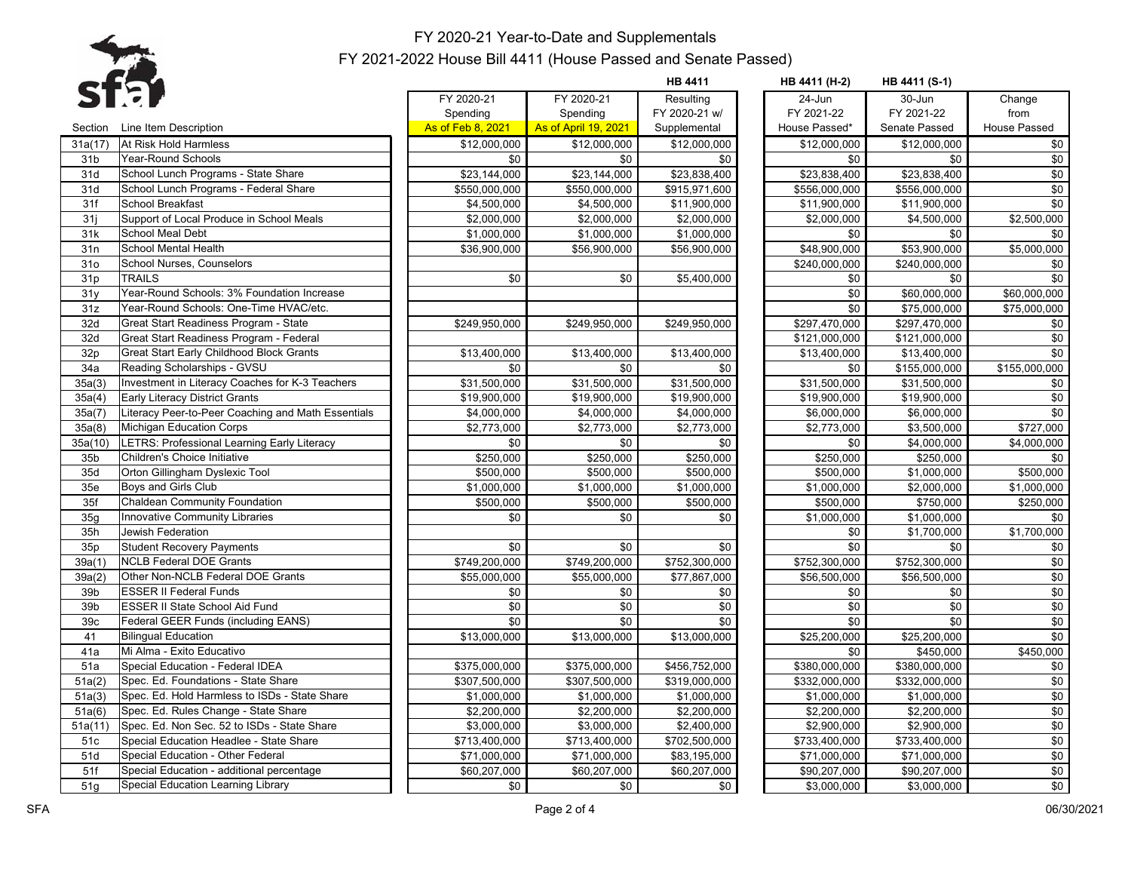

**HB 4411 HB 4411 (H-2) HB 4411 (S-1)**

|                 | SLEF                                               | FY 2020-21        | FY 2020-21           | Resulting     | $24$ -Jun     | $30 - Jun$          | Change         |
|-----------------|----------------------------------------------------|-------------------|----------------------|---------------|---------------|---------------------|----------------|
|                 |                                                    | Spending          | Spending             | FY 2020-21 w/ | FY 2021-22    | FY 2021-22          | from           |
| Section         | Line Item Description                              | As of Feb 8, 2021 | As of April 19, 2021 | Supplemental  | House Passed* | Senate Passed       | House Passed   |
| 31a(17)         | At Risk Hold Harmless                              | \$12,000,000      | \$12,000,000         | \$12,000,000  | \$12,000,000  | \$12,000,000        | $\frac{1}{20}$ |
| 31 <sub>b</sub> | <b>Year-Round Schools</b>                          | \$0               | \$0                  | \$0           | \$0           | \$0                 | \$0            |
| 31d             | School Lunch Programs - State Share                | \$23,144,000      | \$23,144,000         | \$23,838,400  | \$23,838,400  | \$23,838,400        | $\frac{1}{20}$ |
| 31d             | School Lunch Programs - Federal Share              | \$550,000,000     | \$550,000,000        | \$915,971,600 | \$556,000,000 | \$556,000,000       | \$0            |
| 31f             | <b>School Breakfast</b>                            | \$4,500,000       | \$4,500,000          | \$11,900,000  | \$11,900,000  | \$11,900,000        | \$0            |
| 31j             | Support of Local Produce in School Meals           | \$2,000,000       | \$2,000,000          | \$2,000,000   | \$2,000,000   | \$4,500,000         | \$2,500,000    |
| 31k             | <b>School Meal Debt</b>                            | \$1,000,000       | \$1,000,000          | \$1,000,000   | \$0           | \$0                 | \$0            |
| 31n             | School Mental Health                               | \$36,900,000      | \$56,900,000         | \$56,900,000  | \$48,900,000  | \$53,900,000        | \$5,000,000    |
| 31 <sub>o</sub> | School Nurses, Counselors                          |                   |                      |               | \$240,000,000 | \$240,000,000       | \$0            |
| 31p             | <b>TRAILS</b>                                      | \$0               | \$0                  | \$5,400,000   | \$0           | \$0                 | \$0            |
| 31y             | Year-Round Schools: 3% Foundation Increase         |                   |                      |               | \$0           | \$60,000,000        | \$60,000,000   |
| 31z             | Year-Round Schools: One-Time HVAC/etc.             |                   |                      |               | \$0           | \$75,000,000        | \$75,000,000   |
| 32d             | Great Start Readiness Program - State              | \$249,950,000     | \$249,950,000        | \$249.950.000 | \$297,470,000 | \$297,470,000       | \$0            |
| 32d             | Great Start Readiness Program - Federal            |                   |                      |               | \$121,000,000 | \$121,000,000       | \$0            |
| 32p             | Great Start Early Childhood Block Grants           | \$13,400,000      | \$13,400,000         | \$13,400,000  | \$13,400,000  | \$13,400,000        | \$0            |
| 34a             | Reading Scholarships - GVSU                        | \$0               | \$0                  | \$0           | \$0           | \$155,000,000       | \$155,000,000  |
| 35a(3)          | Investment in Literacy Coaches for K-3 Teachers    | \$31,500,000      | \$31,500,000         | \$31,500,000  | \$31,500,000  | \$31,500,000        | \$0            |
| 35a(4)          | Early Literacy District Grants                     | \$19,900,000      | \$19,900,000         | \$19,900,000  | \$19,900,000  | \$19,900,000        | \$0            |
| 35a(7)          | Literacy Peer-to-Peer Coaching and Math Essentials | \$4,000,000       | \$4,000,000          | \$4,000,000   | \$6,000,000   | \$6,000,000         | $\frac{1}{20}$ |
| 35a(8)          | Michigan Education Corps                           | \$2,773,000       | \$2,773,000          | \$2,773,000   | \$2,773,000   | \$3,500,000         | \$727,000      |
| 35a(10)         | LETRS: Professional Learning Early Literacy        | \$0               | \$0                  | \$0           | \$0           | \$4,000,000         | \$4,000,000    |
| 35 <sub>b</sub> | Children's Choice Initiative                       | \$250,000         | \$250,000            | \$250,000     | \$250,000     | \$250,000           | \$0            |
| 35d             | Orton Gillingham Dyslexic Tool                     | \$500,000         | \$500,000            | \$500.000     | \$500,000     | \$1,000,000         | \$500,000      |
| 35e             | Boys and Girls Club                                | \$1,000,000       | \$1,000,000          | \$1,000,000   | \$1,000,000   | \$2,000,000         | \$1,000,000    |
| 35f             | <b>Chaldean Community Foundation</b>               | \$500,000         | \$500,000            | \$500,000     | \$500,000     | \$750,000           | \$250,000      |
| 35g             | Innovative Community Libraries                     | \$0               | \$0                  | \$0           | \$1,000,000   | \$1,000,000         | \$0            |
| 35h             | Jewish Federation                                  |                   |                      |               | \$0           | \$1,700,000         | \$1,700,000    |
| 35p             | <b>Student Recovery Payments</b>                   | \$0               | \$0                  | \$0           | \$0           | \$0                 | \$0            |
| 39a(1)          | <b>NCLB Federal DOE Grants</b>                     | \$749,200,000     | \$749,200,000        | \$752,300,000 | \$752,300,000 | \$752,300,000       | \$0            |
| 39a(2)          | Other Non-NCLB Federal DOE Grants                  | \$55,000,000      | \$55,000,000         | \$77,867,000  | \$56,500,000  | \$56,500,000        | $\frac{1}{20}$ |
| 39b             | <b>ESSER II Federal Funds</b>                      | \$0               | \$0                  | \$0           | \$0           | \$0                 | \$0            |
| 39b             | ESSER II State School Aid Fund                     | \$0               | $\sqrt{6}$           | \$0           | \$0           | $\sqrt{6}$          | \$0            |
| 39 <sub>c</sub> | Federal GEER Funds (including EANS)                | \$0               | \$0                  | \$0           | \$0           | \$0                 | \$0            |
| 41              | <b>Bilingual Education</b>                         | \$13,000,000      | \$13,000,000         | \$13,000,000  | \$25,200,000  | \$25,200,000        | \$0            |
| 41a             | Mi Alma - Exito Educativo                          |                   |                      |               | \$0           | \$450,000           | \$450,000      |
| 51a             | Special Education - Federal IDEA                   | \$375,000,000     | \$375,000,000        | \$456,752,000 | \$380,000,000 | \$380,000,000       | \$0            |
| 51a(2)          | Spec. Ed. Foundations - State Share                | \$307,500,000     | \$307,500,000        | \$319,000,000 | \$332,000,000 | \$332,000,000       | $\frac{1}{20}$ |
| 51a(3)          | Spec. Ed. Hold Harmless to ISDs - State Share      | \$1,000,000       | \$1,000,000          | \$1,000,000   | \$1,000,000   | \$1,000,000         | \$0            |
| 51a(6)          | Spec. Ed. Rules Change - State Share               | \$2,200,000       | \$2,200,000          | \$2,200,000   | \$2,200,000   | $\sqrt{$2,200,000}$ | \$0            |
| 51a(11)         | Spec. Ed. Non Sec. 52 to ISDs - State Share        | \$3,000,000       | \$3,000,000          | \$2,400,000   | \$2,900,000   | \$2,900,000         | \$0            |
| 51c             | Special Education Headlee - State Share            | \$713,400,000     | \$713,400,000        | \$702,500,000 | \$733,400,000 | \$733,400,000       | \$0            |
| 51d             | Special Education - Other Federal                  | \$71,000,000      | \$71,000,000         | \$83,195,000  | \$71,000,000  | \$71,000,000        | \$0            |
| 51f             | Special Education - additional percentage          | \$60,207,000      | \$60,207,000         | \$60,207,000  | \$90,207,000  | \$90,207,000        | $\frac{1}{20}$ |
| 51q             | Special Education Learning Library                 | \$0               | \$0                  | \$0           | \$3,000,000   | \$3,000,000         | \$0            |

|                |                      | <b>HB 4411</b> | HB 4411 (H-2) | HB 4411 (S-1) |               |
|----------------|----------------------|----------------|---------------|---------------|---------------|
| FY 2020-21     | FY 2020-21           | Resulting      | 24-Jun        | 30-Jun        | Change        |
| Spending       | Spending             | FY 2020-21 w/  | FY 2021-22    | FY 2021-22    | from          |
| of Feb 8, 2021 | As of April 19, 2021 | Supplemental   | House Passed* | Senate Passed | House Passed  |
| \$12,000,000   | \$12,000,000         | \$12,000,000   | \$12,000,000  | \$12,000,000  | \$0           |
| \$0            | \$0                  | \$0            | \$0           | \$0           | \$0           |
| \$23,144,000   | \$23,144,000         | \$23,838,400   | \$23,838,400  | \$23,838,400  | $\sqrt{6}$    |
| \$550,000,000  | \$550,000,000        | \$915,971,600  | \$556,000,000 | \$556,000,000 | $\sqrt{6}$    |
| \$4,500,000    | \$4,500,000          | \$11,900,000   | \$11,900,000  | \$11,900,000  | \$0           |
| \$2,000,000    | \$2,000,000          | \$2,000,000    | \$2.000.000   | \$4.500.000   | \$2,500,000   |
| \$1,000,000    | \$1,000,000          | \$1,000,000    | \$0           | \$0           | \$0           |
| \$36,900,000   | \$56,900,000         | \$56,900,000   | \$48,900,000  | \$53,900,000  | \$5,000,000   |
|                |                      |                | \$240,000,000 | \$240,000,000 | \$0           |
| \$0            | \$0                  | \$5,400,000    | \$0           | \$0           | \$0           |
|                |                      |                | \$0           | \$60,000,000  | \$60,000,000  |
|                |                      |                | \$0           | \$75,000,000  | \$75,000,000  |
| \$249,950,000  | \$249,950,000        | \$249,950,000  | \$297,470,000 | \$297,470,000 | \$0           |
|                |                      |                | \$121,000,000 | \$121,000,000 | \$0           |
| \$13,400,000   | \$13,400,000         | \$13,400,000   | \$13,400,000  | \$13,400,000  | \$0           |
| \$0            | \$0                  | \$0            | \$0           | \$155,000,000 | \$155,000,000 |
| \$31,500,000   | \$31,500,000         | \$31,500,000   | \$31,500,000  | \$31,500,000  | \$0           |
| \$19,900,000   | \$19,900,000         | \$19,900,000   | \$19,900,000  | \$19,900,000  | $\sqrt{6}$    |
| \$4,000,000    | \$4,000,000          | \$4,000,000    | \$6,000,000   | \$6,000,000   | \$0           |
| \$2,773,000    | \$2,773,000          | \$2,773,000    | \$2,773,000   | \$3,500,000   | \$727,000     |
| \$0            | \$0                  | \$0            | \$0           | \$4,000,000   | \$4,000,000   |
| \$250,000      | $\frac{1}{2250,000}$ | \$250,000      | \$250,000     | \$250,000     | \$0           |
| \$500,000      | \$500,000            | \$500,000      | \$500,000     | \$1,000,000   | \$500,000     |
| \$1,000,000    | \$1,000,000          | \$1,000,000    | \$1,000,000   | \$2,000,000   | \$1,000,000   |
| \$500,000      | \$500,000            | \$500,000      | \$500,000     | \$750,000     | \$250,000     |
| \$0            | \$0                  | \$0            | \$1,000,000   | \$1,000,000   | \$0           |
|                |                      |                | \$0           | \$1,700,000   | \$1,700,000   |
| \$0            | \$0                  | \$0            | \$0           | \$0           | \$0           |
| \$749,200,000  | \$749,200,000        | \$752,300,000  | \$752,300,000 | \$752,300,000 | \$0           |
| \$55,000,000   | \$55,000,000         | \$77,867,000   | \$56,500,000  | \$56,500,000  | $\sqrt{6}$    |
| \$0            | \$0                  | \$0            | \$0           | \$0           | \$0           |
| \$0            | \$0                  | \$0            | \$0           | \$0           | \$0           |
| \$0            | \$0                  | \$0            | \$0           | \$0           | \$0           |
| \$13,000,000   | \$13,000,000         | \$13,000,000   | \$25,200,000  | \$25,200,000  | \$0           |
|                |                      |                | \$0           | \$450,000     | \$450,000     |
| \$375,000,000  | \$375,000,000        | \$456,752,000  | \$380,000,000 | \$380,000,000 | \$0           |
| \$307,500,000  | \$307,500,000        | \$319,000,000  | \$332,000,000 | \$332,000,000 | \$0           |
| \$1,000,000    | \$1,000,000          | \$1,000,000    | \$1,000,000   | \$1,000,000   | $\sqrt{6}$    |
| \$2,200,000    | \$2,200,000          | \$2,200,000    | \$2,200,000   | \$2,200,000   | \$0           |
| \$3,000,000    | \$3,000,000          | \$2,400,000    | \$2,900,000   | \$2,900,000   | \$0           |
| \$713,400,000  | \$713,400,000        | \$702,500,000  | \$733,400,000 | \$733,400,000 | \$0           |
| \$71,000,000   | \$71,000,000         | \$83,195,000   | \$71,000,000  | \$71,000,000  | \$0           |
| \$60,207,000   | \$60,207,000         | \$60,207,000   | \$90,207,000  | \$90,207,000  | $\sqrt{6}$    |
| \$0            | \$0                  | \$0            | \$3,000,000   | \$3,000,000   | \$0           |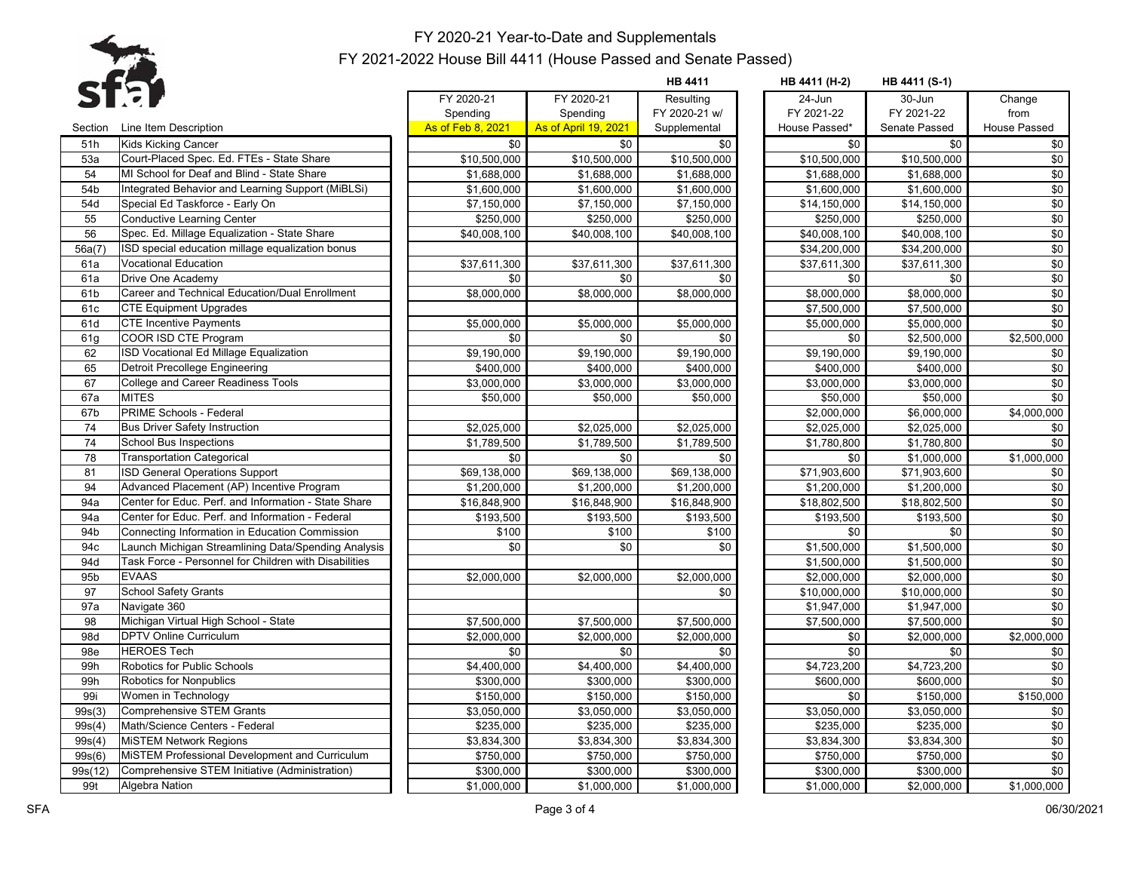

|         |                                                       |                         |                        | <b>HB 4411</b>          | HB 4411 (H-2) | HB 4411 (S-1) |                     |
|---------|-------------------------------------------------------|-------------------------|------------------------|-------------------------|---------------|---------------|---------------------|
|         |                                                       | FY 2020-21              | FY 2020-21             | Resulting               | 24-Jun        | 30-Jun        | Change              |
|         |                                                       | Spending                | Spending               | FY 2020-21 w/           | FY 2021-22    | FY 2021-22    | from                |
| Section | Line Item Description                                 | As of Feb 8, 2021       | As of April 19, 2021   | Supplemental            | House Passed* | Senate Passed | <b>House Passed</b> |
| 51h     | Kids Kicking Cancer                                   | \$0                     | \$0                    | \$0                     | \$0           | \$0           | \$0                 |
| 53a     | Court-Placed Spec. Ed. FTEs - State Share             | \$10,500,000            | \$10,500,000           | \$10,500,000            | \$10,500,000  | \$10,500,000  | \$0                 |
| 54      | MI School for Deaf and Blind - State Share            | $\overline{$1,688,000}$ | \$1,688,000            | \$1,688,000             | \$1,688,000   | \$1,688,000   | \$0                 |
| 54b     | Integrated Behavior and Learning Support (MiBLSi)     | \$1,600,000             | \$1,600,000            | \$1,600,000             | \$1,600,000   | \$1,600,000   | \$0                 |
| 54d     | Special Ed Taskforce - Early On                       | \$7,150,000             | \$7,150,000            | \$7,150,000             | \$14,150,000  | \$14,150,000  | \$0                 |
| 55      | <b>Conductive Learning Center</b>                     | \$250,000               | \$250,000              | \$250,000               | \$250,000     | \$250,000     | \$0                 |
| 56      | Spec. Ed. Millage Equalization - State Share          | \$40,008,100            | \$40,008,100           | \$40,008,100            | \$40,008,100  | \$40,008,100  | $\frac{1}{20}$      |
| 56a(7)  | ISD special education millage equalization bonus      |                         |                        |                         | \$34,200,000  | \$34,200,000  | \$0                 |
| 61a     | Vocational Education                                  | \$37,611,300            | \$37,611,300           | \$37,611,300            | \$37,611,300  | \$37,611,300  | \$0                 |
| 61a     | Drive One Academy                                     | \$0                     | \$0                    | \$0                     | \$0           | \$0           | \$0                 |
| 61b     | Career and Technical Education/Dual Enrollment        | \$8,000,000             | $\frac{1}{68,000,000}$ | \$8,000,000             | \$8,000,000   | \$8,000,000   | \$0                 |
| 61c     | <b>CTE Equipment Upgrades</b>                         |                         |                        |                         | \$7,500,000   | \$7,500,000   | \$0                 |
| 61d     | <b>CTE Incentive Payments</b>                         | \$5,000,000             | \$5,000,000            | \$5,000,000             | \$5,000,000   | \$5,000,000   | \$0                 |
| 61q     | COOR ISD CTE Program                                  | \$0                     | \$0                    | \$0                     | \$0           | \$2,500,000   | \$2,500,000         |
| 62      | ISD Vocational Ed Millage Equalization                | \$9,190,000             | \$9,190,000            | \$9,190,000             | \$9,190,000   | \$9,190,000   | \$0                 |
| 65      | Detroit Precollege Engineering                        | \$400,000               | \$400,000              | \$400,000               | \$400,000     | \$400,000     | \$0                 |
| 67      | <b>College and Career Readiness Tools</b>             | \$3,000,000             | \$3,000,000            | \$3,000,000             | \$3,000,000   | \$3,000,000   | \$0                 |
| 67a     | <b>MITES</b>                                          | \$50,000                | \$50,000               | \$50,000                | \$50,000      | \$50,000      | \$0                 |
| 67b     | PRIME Schools - Federal                               |                         |                        |                         | \$2,000,000   | 6,000,000     | \$4,000,000         |
| 74      | <b>Bus Driver Safety Instruction</b>                  | \$2,025,000             | \$2,025,000            | \$2,025,000             | \$2,025,000   | \$2,025,000   | \$0                 |
| 74      | <b>School Bus Inspections</b>                         | \$1,789,500             | \$1,789,500            | \$1,789,500             | \$1,780,800   | \$1,780,800   | \$0                 |
| 78      | <b>Transportation Categorical</b>                     | \$0                     | \$0                    | \$0                     | \$0           | \$1,000,000   | \$1,000,000         |
| 81      | <b>ISD General Operations Support</b>                 | \$69,138,000            | \$69,138,000           | \$69,138,000            | \$71,903,600  | \$71,903,600  | \$0                 |
| 94      | Advanced Placement (AP) Incentive Program             | \$1,200,000             | \$1,200,000            | \$1,200,000             | \$1,200,000   | \$1,200,000   | $\sqrt{6}$          |
| 94a     | Center for Educ. Perf. and Information - State Share  | \$16,848,900            | \$16,848,900           | \$16,848,900            | \$18,802,500  | \$18,802,500  | \$0                 |
| 94a     | Center for Educ. Perf. and Information - Federal      | \$193,500               | \$193,500              | \$193,500               | \$193,500     | \$193,500     | \$0                 |
| 94b     | Connecting Information in Education Commission        | \$100                   | \$100                  | \$100                   | \$0           | \$0           | \$0                 |
| 94c     | Launch Michigan Streamlining Data/Spending Analysis   | \$0                     | \$0                    | \$0                     | \$1,500,000   | \$1,500,000   | \$0                 |
| 94d     | Task Force - Personnel for Children with Disabilities |                         |                        |                         | \$1,500,000   | \$1,500,000   | \$0                 |
| 95b     | <b>EVAAS</b>                                          | \$2,000,000             | \$2,000,000            | \$2,000,000             | \$2,000,000   | \$2,000,000   | \$0                 |
| 97      | <b>School Safety Grants</b>                           |                         |                        | \$0                     | \$10,000,000  | \$10,000,000  | \$0                 |
| 97a     | Navigate 360                                          |                         |                        |                         | \$1,947,000   | \$1,947,000   | \$0                 |
| 98      | Michigan Virtual High School - State                  | \$7,500,000             | \$7,500,000            | \$7,500,000             | \$7,500,000   | \$7,500,000   | \$0                 |
| 98d     | <b>DPTV Online Curriculum</b>                         | \$2,000,000             | \$2,000,000            | \$2,000,000             | \$0           | \$2,000,000   | \$2,000,000         |
| 98e     | <b>HEROES Tech</b>                                    | \$0                     | \$0                    | \$0                     | \$0           | \$0           | \$0                 |
| 99h     | Robotics for Public Schools                           | \$4,400,000             | \$4,400,000            | $\overline{$4,400,000}$ | \$4,723,200   | \$4,723,200   | \$0                 |
| 99h     | Robotics for Nonpublics                               | \$300,000               | \$300,000              | \$300,000               | \$600,000     | \$600,000     | \$0                 |
| 99i     | Women in Technology                                   | \$150,000               | \$150,000              | \$150,000               | \$0           | \$150,000     | \$150,000           |
| 99s(3)  | <b>Comprehensive STEM Grants</b>                      | \$3,050,000             | \$3,050,000            | \$3,050,000             | \$3,050,000   | \$3,050,000   | \$0                 |
| 99s(4)  | Math/Science Centers - Federal                        | \$235,000               | \$235,000              | \$235,000               | \$235,000     | \$235,000     | \$0                 |
| 99s(4)  | <b>MISTEM Network Regions</b>                         | \$3,834,300             | \$3,834,300            | \$3,834,300             | \$3,834,300   | \$3,834,300   | \$0                 |
| 99s(6)  | MISTEM Professional Development and Curriculum        | \$750,000               | \$750,000              | \$750,000               | \$750,000     | \$750,000     | \$0                 |
| 99s(12) | Comprehensive STEM Initiative (Administration)        | \$300,000               | \$300,000              | \$300,000               | \$300,000     | \$300,000     | $\frac{1}{20}$      |
| 99t     | Algebra Nation                                        | \$1,000,000             | \$1,000,000            | \$1,000,000             | \$1,000,000   | \$2,000,000   | \$1,000,000         |
|         |                                                       |                         |                        |                         |               |               |                     |